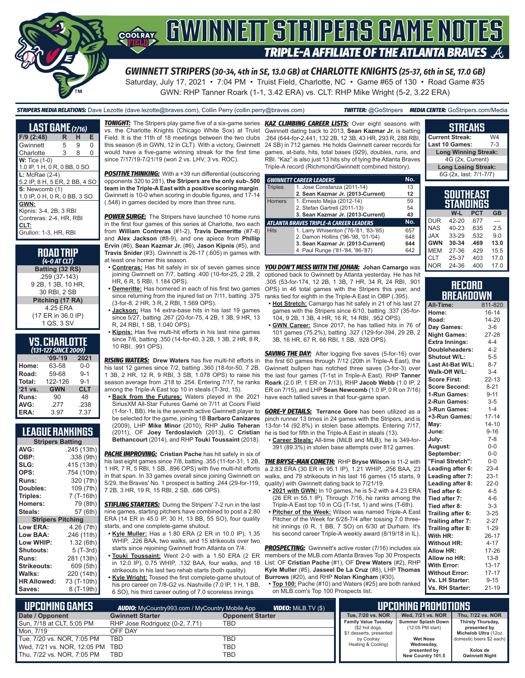

Saturday, July 17, 2021 • 7:04 PM • Truist Field, Charlotte, NC • Game #65 of 130 • Road Game #35 GWN: RHP Tanner Roark (1-1, 3.42 ERA) vs. CLT: RHP Mike Wright (5-2, 3.22 ERA)

#### *STRIPERS MEDIA RELATIONS:* Dave Lezotte (dave.lezotte@braves.com), Collin Perry (collin.perry@braves.com) *TWITTER:* @GoStripers *MEDIA CENTER:* GoStripers.com/Media

| <b>LAST GAME</b> (7/16)       |   |   |   |  |  |  |
|-------------------------------|---|---|---|--|--|--|
| F/9 (2:48)                    | R | н | E |  |  |  |
| Gwinnett                      | 5 | 9 | 0 |  |  |  |
| Charlotte                     | 3 | 8 | 0 |  |  |  |
| $W:$ Tice $(1-0)$             |   |   |   |  |  |  |
| 1.0 IP, 1 H, 0 R, 0 BB, 0 SO  |   |   |   |  |  |  |
| $L:$ McRae $(2-4)$            |   |   |   |  |  |  |
| 5.2 IP, 8 H, 5 ER, 2 BB, 4 SO |   |   |   |  |  |  |
| S: Newcomb (1)                |   |   |   |  |  |  |
| 1.0 IP, 0 H, 0 R, 0 BB, 3 SO  |   |   |   |  |  |  |
| GWN:                          |   |   |   |  |  |  |
| Kipnis: 3-4, 2B, 3 RBI        |   |   |   |  |  |  |
| Contreras: 2-4. HR. RBI       |   |   |   |  |  |  |
| CLT:                          |   |   |   |  |  |  |
| Grullon: 1-3, HR, RBI         |   |   |   |  |  |  |

#### **ROAD TRIP**  *(4-0 AT CLT)*

**Batting (32 RS)** .259 (37-143) 9 2B, 1 3B, 10 HR, 30 RBI, 2 SB **Pitching (17 RA)** 4.25 ERA (17 ER in 36.0 IP) 1 QS, 3 SV

#### **VS. CHARLOTTE**  *(131-127 SINCE 2009)*

|         | $09 - 19$  | 2021       |
|---------|------------|------------|
| Home:   | 63-58      | $0 - 0$    |
| Road:   | 59-68      | $9 - 1$    |
| Total:  | 122-126    | $9 - 1$    |
|         |            |            |
| '21 vs. | <b>GWN</b> | <b>CLT</b> |
| Runs:   | 90         | 48         |
| AVG:    | .277       | .238       |

### **LEAGUE RANKINGS**

| <b>Stripers Batting</b>  |             |  |  |  |  |
|--------------------------|-------------|--|--|--|--|
| AVG:                     | .245 (13th) |  |  |  |  |
| OBP:                     | .338 (9th)  |  |  |  |  |
| SLG:                     | .415 (13th) |  |  |  |  |
| OPS:                     | .754 (10th) |  |  |  |  |
| <b>Runs:</b>             | 320 (7th)   |  |  |  |  |
| Doubles:                 | 109 (7th)   |  |  |  |  |
| Triples:                 | 7 (T-16th)  |  |  |  |  |
| <b>Homers:</b>           | 79 (8th)    |  |  |  |  |
| Steals:                  | 57 (6th)    |  |  |  |  |
| <b>Stripers Pitching</b> |             |  |  |  |  |
| <b>Low ERA:</b>          | 4.26 (7th)  |  |  |  |  |
| <b>Low BAA:</b>          | .246 (11th) |  |  |  |  |
| Low WHIP:                | 1.32 (6th)  |  |  |  |  |
| <b>Shutouts:</b>         | 5 (T-3rd)   |  |  |  |  |
| <b>Runs:</b>             | 281 (13th)  |  |  |  |  |
| <b>Strikeouts:</b>       | 609 (5th)   |  |  |  |  |
| Walks:                   | 220 (14th)  |  |  |  |  |
| <b>HR Allowed:</b>       | 73 (T-10th) |  |  |  |  |
| Saves:                   | 8 (T-19th)  |  |  |  |  |

vs. the Charlotte Knights (Chicago White Sox) at Truist Field. It is the 11th of 18 meetings between the two clubs this season (6 in GWN, 12 in CLT). With a victory, Gwinnett would have a five-game winning streak for the first time since 7/17/19-7/21/19 (won 2 vs. LHV, 3 vs. ROC).

**POSITIVE THINKING:** With a +39 run differential (outscoring opponents 320 to 281), **the Stripers are the only sub-.500 team in the Triple-A East with a positive scoring margin**. Gwinnett is 10-0 when scoring in double figures, and 17-14 (.548) in games decided by more than three runs.

*POWER SURGE:* The Stripers have launched 10 home runs in the first four games of this series at Charlotte, two each from **William Contreras** (#1-2), **Travis Demeritte** (#7-8) and **Alex Jackson** (#8-9), and one apiece from **Phillip Ervin** (#6), **Sean Kazmar Jr.** (#6), **Jason Kipnis** (#5), and **Travis Snider** (#3). Gwinnett is 26-17 (.605) in games with at least one homer this season.

- joining Gwinnett on 7/7, batting .400 (10-for-25, 2 2B, 2 HR, 6 R, 5 RBI, 1.184 OPS).
- **• Demeritte:** Has homered in each of his first two games since returning from the injured list on 7/11, batting .375 (3-for-8, 2 HR, 3 R, 2 RBI, 1.569 OPS).
- **• Jackson:** Has 14 extra-base hits in his last 19 games since 5/27, batting .267 (20-for-75, 4 2B, 1 3B, 9 HR, 13 R, 24 RBI, 1 SB, 1.040 OPS).
- **• Kipnis:** Has five multi-hit efforts in his last nine games since 7/6, batting .350 (14-for-40, 3 2B, 1 3B, 2 HR, 8 R, 10 RBI 991 OPS).

*RISING WATERS:* **Drew Waters** has five multi-hit efforts in his last 12 games since 7/2, batting .360 (18-for-50, 7 2B, 1 3B, 2 HR, 12 R, 9 RBI, 3 SB, 1.078 OPS) to raise his season average from .218 to .254. Entering 7/17, he ranks among the Triple-A East top 10 in steals (T-3rd, 15).

**• Back from the Futures:** Waters played in the 2021 SiriusXM All- $(1$ -for-1, BB)  $\overline{b}$  be selected (2009), LHP **Mike Minor** (2010), RHP **Julio Teheran** (2011), OF **Joey Terdoslavich** (2013), C **Cristian Bethancour** 

*PACHE IMPROVING:* **Cristian Pache** has hit safely in six of in that span. In 33 games overall since joining Gwinnett on 5/29, the Braves' No. 1 prospect is batting .244 (29-for-119, 7 2B, 3 HR, 19 R, 15 RBI, 2 SB, .686 OPS).

**STIFLING STARTERS:** During the Stripers' 7-2 run in the last nine games, starting pitchers have combined to post a 2.80 ERA (14 ER in 45.0 IP, 30 H, 13 BB, 55 SO), four quality starts, and one complete-game shutout.

- **• Kyle Muller:** Has a 1.80 ERA (2 ER in 10.0 IP), 1.35 WHIP, .226 BAA, two walks, and 15 strikeouts over two starts since rejoining Gwinnett from Atlanta on 7/4.
- in 12.0 IP), 0.75 WHIP, .132 BAA, four walks, and 18 strikeouts in his last two rehab starts (both quality).
- **• Kyle Wright:** Tossed the first complete-game shutout of his pro career on 7/8-G2 vs. Nashville (7.0 IP, 1 H, 1 BB, 6 SO), his third career outing of 7.0 scoreless innings.

*TONIGHT:* The Stripers play game five of a six-game series *KAZ CLIMBING CAREER LISTS:* Over eight seasons with Gwinnett dating back to 2013, **Sean Kazmar Jr.** is batting .264 (644-for-2,441, 132 2B, 12 3B, 43 HR, 293 R, 288 RBI, 24 SB) in 712 games. He holds Gwinnett career records for games, at-bats, hits, total bases (929), doubles, runs, and RBI. "Kaz" is also just 13 hits shy of tying the Atlanta Braves Triple-A record (Richmond/Gwinnett combined history).

|                | <b>GWINNETT CAREER LEADERS</b>                | No. |
|----------------|-----------------------------------------------|-----|
| <b>Triples</b> | 1. Jose Constanza (2011-14)                   | 13  |
|                | 2. Sean Kazmar Jr. (2013-Current)             | 12  |
| <b>Homers</b>  | 1. Ernesto Mejia (2012-14)                    | 59  |
|                | 2. Stefan Gartrell (2011-13)                  | 54  |
|                | 3. Sean Kazmar Jr. (2013-Current)             | 43  |
|                | <b>ATLANTA BRAVES TRIPLE-A CAREER LEADERS</b> | No. |
| <b>Hits</b>    | 1. Larry Whisenton ('76-'81, '83-'85)         | 657 |
|                | 2. Damon Hollins ('96-'98, '01-'04)           | 648 |
|                | 3. Sean Kazmar Jr. (2013-Current)             | 644 |
|                | 4. Paul Runge ('81-'84, '86-'87)              | 642 |

**• Contreras:** Has hit safely in six of seven games since *YOU DON'T MESS WITH THE JOHAN:* **Johan Camargo** was optioned back to Gwinnett by Atlanta yesterday. He has hit .305 (53-for-174, 12 2B, 1 3B, 7 HR, 34 R, 24 RBI, .901 OPS) in 46 total games with the Stripers this year, and ranks tied for eighth in the Triple-A East in OBP (.395).

- **• Hot Stretch:** Camargo has hit safely in 21 of his last 27 games with the Stripers since 6/10, batting .337 (35-for-104, 9 2B, 1 3B, 4 HR, 16 R, 14 RBI, .952 OPS).
- **• GWN Career:** Since 2017, he has tallied hits in 76 of 101 games (75.2%), batting .327 (129-for-394, 29 2B, 2 3B, 16 HR, 67 R, 66 RBI, 1 SB, .928 OPS).

**SAVING THE DAY:** After logging five saves (5-for-16) over the first 60 games through 7/12 (20th in Triple-A East), the Gwinnett bullpen has notched three saves (3-for-3) over the last four games (T-1st in Triple-A East). RHP **Tanner Roark** (2.0 IP, 1 ER on 7/13), RHP **Jacob Webb** (1.0 IP, 2 ER on 7/15), and LHP **Sean Newcomb** (1.0 IP, 0 R on 7/16) have each tallied saves in that four-game span.

**Terrance Gore** has been utilized as a mes in 24 games with the Stripers, and is ) in stolen base attempts. Entering 7/17, in the Triple-A East in steals (13).

**• Career Steals:** All-time (MiLB and MLB), he is 349-forstolen base attempts over 812 games.

his last eight games since 7/8, batting .355 (11-for-31, 1 2B, *THE BRYSE-MAN COMETH:* RHP **Bryse Wilson** is 11-2 with 1 HR, 7 R, 5 RBI, 1 SB, .896 OPS) with five multi-hit efforts a 2.83 ERA (30 ER in 95.1 IP), 1.21 WHIP, .256 BAA, 23 walks, and 79 strikeouts in his last 16 games (15 starts, 9 quality) with Gwinnett dating back to 7/21/19.

- **• 2021 with GWN:** In 10 games, he is 5-2 with a 4.23 ERA (26 ER in 55.1 IP). Through 7/16, he ranks among the Triple-A East top 10 in CG (T-1st, 1) and wins (T-6th).
- **• Pitcher of the Week:** Wilson was named Triple-A East Pitcher of the Week for 6/28-7/4 after tossing 7.0 threehit innings (0 R, 1 BB, 7 SO) on 6/30 at Durham. It's his second career Triple-A weekly award (8/19/18 in IL).

**• Touki Toussaint:** Went 2-0 with a 1.50 ERA (2 ER members of the MLB.com Atlanta Braves Top 30 Prospects **PROSPECTING:** Gwinnett's active roster (7/16) includes six List: OF **Cristian Pache** (#1), OF **Drew Waters** (#2), RHP **Kyle Muller** (#5), **Jasseel De La Cruz** (#8), LHP **Thomas Burrows** (#20), and RHP **Nolan Kingham** (#30).

**• Top 100:** Pache (#10) and Waters (#25) are both ranked on MLB.com's Top 100 Prospects list.

| aintana                     |       |  |  |
|-----------------------------|-------|--|--|
| <b>Current Streak:</b>      | W4    |  |  |
| Last 10 Games:              | $7-3$ |  |  |
| <b>Long Winning Streak:</b> |       |  |  |
| 4G (2x, Current)            |       |  |  |
| <b>Long Losing Streak:</b>  |       |  |  |
| 6G (2x, last: 7/1-7/7)      |       |  |  |

**STREAKS**

| Southeast<br>STANDINGS |           |            |           |  |  |  |
|------------------------|-----------|------------|-----------|--|--|--|
|                        | W-L       | <b>PCT</b> | <b>GB</b> |  |  |  |
| <b>DUR</b>             | $42 - 20$ | .677       |           |  |  |  |
| <b>NAS</b>             | $40 - 23$ | .635       | 2.5       |  |  |  |
| <b>XAL</b>             | 33-29     | .532       | 9 N       |  |  |  |
| <b>GWN</b>             | 30-34     | .469       | 13.0      |  |  |  |
| <b>MEM</b>             | 27-36     | .429       | 15.5      |  |  |  |
| <b>CLT</b>             | 25-37     | .403       | 17.0      |  |  |  |
| <b>NOR</b>             | 24-36     | .400       | 17.0      |  |  |  |

#### **RECORD BREAKDOWN**

| All-Time:             | 811-820   |
|-----------------------|-----------|
| Home:                 | $16 - 14$ |
| Road:                 | 14-20     |
| Day Games:            | $3-6$     |
| <b>Night Games:</b>   | 27-28     |
| <b>Extra Innings:</b> | $4 - 4$   |
| Doubleheaders:        | $4 - 2$   |
| Shutout W/L:          | $5 - 5$   |
| Last At-Bat W/L:      | $8 - 7$   |
| Walk-Off W/L:         | $3 - 4$   |
| <b>Score First:</b>   | $22 - 13$ |
| <b>Score Second:</b>  | $8 - 21$  |
| 1-Run Games:          | $9 - 11$  |
| 2-Run Games:          | $3 - 5$   |
| 3-Run Games:          | $1 - 4$   |
| +3-Run Games:         | $17 - 14$ |
| May:                  | $14 - 10$ |
| June:                 | $9 - 16$  |
| July:                 | $7-8$     |
| August:               | $0-0$     |
| September:            | $0-0$     |
| "Final Stretch":      | $0-0$     |
| Leading after 6:      | $23 - 4$  |
| Leading after 7:      | $23-1$    |
| Leading after 8:      | $22-0$    |
| Tied after 6:         | $4 - 5$   |
| Tied after 7:         | $4 - 6$   |
| Tied after 8:         | $3 - 3$   |
| Trailing after 6:     | $3 - 25$  |
| Trailing after 7:     | $2 - 27$  |
| Trailing after 8:     | $1 - 29$  |
| With HR:              | $26 - 17$ |
| <b>Without HR:</b>    | $4 - 17$  |
| <b>Allow HR:</b>      | 17-26     |
| Allow no HR:          | $13 - 8$  |
| <b>With Error:</b>    | $13 - 17$ |
| <b>Without Error:</b> | $17 - 17$ |
| Vs. LH Starter:       | $9 - 15$  |
| Vs. RH Starter:       | $21 - 19$ |

| L UPCOMING GAMES I<br><b>VIDEO:</b> MILB.TV (\$)<br><b>AUDIO:</b> MyCountry993.com / MyCountry Mobile App |                                |                         | <b>UPCOMING PROMOTIONS</b>             |                                        |                                   |
|-----------------------------------------------------------------------------------------------------------|--------------------------------|-------------------------|----------------------------------------|----------------------------------------|-----------------------------------|
| Date / Opponent                                                                                           | <b>Gwinnett Starter</b>        | <b>Opponent Starter</b> | Tue. 7/20 vs. NOR                      | Wed. 7/21 vs. NOR                      | Thu. 7/22 vs. NOR                 |
| Sun. 7/18 at CLT. 5:05 PM                                                                                 | RHP Jose Rodriguez (0-2, 7.71) | TBD                     | Family Value Tuesday<br>(\$2 hot dogs, | Summer Splash Down<br>(12:05 PM start) | Thirsty Thursday,<br>presented by |
| Mon. 7/19                                                                                                 | OFF DAY                        |                         | \$1 desserts, presented                |                                        | Michelob Ultra (12oz              |
| Tue, 7/20 vs. NOR, 7:05 PM                                                                                | TBD                            | TBD                     | by Coolray                             | <b>Wet Nose</b>                        | domestic beers \$2 each           |
| Wed, 7/21 vs. NOR, 12:05 PM TBD                                                                           |                                | TBD                     | Heating & Cooling)                     | Wednesday,                             |                                   |
| Thu, 7/22 vs. NOR, 7:05 PM                                                                                | TBD                            | TBD                     |                                        | presented by<br>New Country 101.5      | Xolos de<br><b>Gwinnett Night</b> |

| -Star Futures Game on //TT at Coors Field                            |                 |
|----------------------------------------------------------------------|-----------------|
| . He is the seventh active Gwinnett player to <b>GORE-Y DETAILS:</b> |                 |
| for the game, joining 1B <b>Barbaro Canizares</b> pinch runner 13 ti |                 |
| Mike Minor (2010), RHP Julio Teheran 13-for-14 (92.8%)               |                 |
| Joev Terdoslavich (2013), C Cristian he is tied for fifth i          |                 |
| rt (2014), and RHP Touki Toussaint (2018). • Career Steals           |                 |
|                                                                      | $391(893\%)$ in |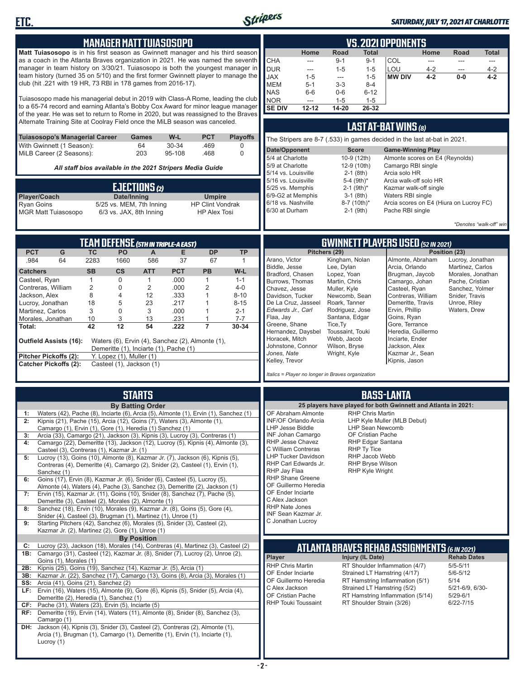

### *SATURDAY, JULY 17, 2021 AT CHARLOTTE*

| <b>MANAGER MATT TUIASOSOPO</b>                                                                                                                                                                                                                                                                                                                                                                                                                                                                                                                                                                                                                                                                                                                                                                                                                                                                                                                                                                                                                                                                                                                                                                                                                                  | <b>VS. 2021 OPPONENTS</b>                                                                                                                                                                                                                                                                                                                                                                                                                                                                                                                                                                                                                                                                                                                                                                                                                                                                                                                                                                                                                                      |
|-----------------------------------------------------------------------------------------------------------------------------------------------------------------------------------------------------------------------------------------------------------------------------------------------------------------------------------------------------------------------------------------------------------------------------------------------------------------------------------------------------------------------------------------------------------------------------------------------------------------------------------------------------------------------------------------------------------------------------------------------------------------------------------------------------------------------------------------------------------------------------------------------------------------------------------------------------------------------------------------------------------------------------------------------------------------------------------------------------------------------------------------------------------------------------------------------------------------------------------------------------------------|----------------------------------------------------------------------------------------------------------------------------------------------------------------------------------------------------------------------------------------------------------------------------------------------------------------------------------------------------------------------------------------------------------------------------------------------------------------------------------------------------------------------------------------------------------------------------------------------------------------------------------------------------------------------------------------------------------------------------------------------------------------------------------------------------------------------------------------------------------------------------------------------------------------------------------------------------------------------------------------------------------------------------------------------------------------|
| Matt Tuiasosopo is in his first season as Gwinnett manager and his third season<br>as a coach in the Atlanta Braves organization in 2021. He was named the seventh<br>manager in team history on 3/30/21. Tuiasosopo is both the youngest manager in<br>team history (turned 35 on 5/10) and the first former Gwinnett player to manage the<br>club (hit .221 with 19 HR, 73 RBI in 178 games from 2016-17).<br>Tuiasosopo made his managerial debut in 2019 with Class-A Rome, leading the club<br>to a 65-74 record and earning Atlanta's Bobby Cox Award for minor league manager<br>of the year. He was set to return to Rome in 2020, but was reassigned to the Braves<br>Alternate Training Site at Coolray Field once the MiLB season was canceled.                                                                                                                                                                                                                                                                                                                                                                                                                                                                                                      | Home<br>Road<br>Total<br>Home<br><b>Road</b><br><b>Total</b><br><b>CHA</b><br>$9 - 1$<br>COL<br>$9 - 1$<br>---<br>---<br>$---$<br>$\cdots$<br><b>DUR</b><br>LOU<br>$1 - 5$<br>$1 - 5$<br>$4 - 2$<br>$4 - 2$<br>$---$<br>---<br><b>JAX</b><br><b>MW DIV</b><br>$1 - 5$<br>$4 - 2$<br>$0-0$<br>$4 - 2$<br>$1 - 5$<br>---<br><b>MEM</b><br>$3 - 3$<br>$8 - 4$<br>$5 - 1$<br><b>NAS</b><br>$0-6$<br>$6-6$<br>$6 - 12$<br><b>NOR</b><br>$1 - 5$<br>$1 - 5$<br>$\frac{1}{2}$<br><b>SE DIV</b><br>$12 - 12$<br>14-20<br>26-32<br>LAST AT-BAT WINS (8)                                                                                                                                                                                                                                                                                                                                                                                                                                                                                                                 |
| <b>Tuiasosopo's Managerial Career</b><br>W-L<br><b>PCT</b><br><b>Playoffs</b><br>Games<br>With Gwinnett (1 Season):<br>64<br>30-34<br>.469<br>0                                                                                                                                                                                                                                                                                                                                                                                                                                                                                                                                                                                                                                                                                                                                                                                                                                                                                                                                                                                                                                                                                                                 | The Stripers are 8-7 (.533) in games decided in the last at-bat in 2021.                                                                                                                                                                                                                                                                                                                                                                                                                                                                                                                                                                                                                                                                                                                                                                                                                                                                                                                                                                                       |
| MiLB Career (2 Seasons):<br>203<br>0<br>95-108<br>.468                                                                                                                                                                                                                                                                                                                                                                                                                                                                                                                                                                                                                                                                                                                                                                                                                                                                                                                                                                                                                                                                                                                                                                                                          | Date/Opponent<br><b>Score</b><br><b>Game-Winning Play</b><br>5/4 at Charlotte<br>10-9 (12th)<br>Almonte scores on E4 (Reynolds)                                                                                                                                                                                                                                                                                                                                                                                                                                                                                                                                                                                                                                                                                                                                                                                                                                                                                                                                |
| All staff bios available in the 2021 Stripers Media Guide                                                                                                                                                                                                                                                                                                                                                                                                                                                                                                                                                                                                                                                                                                                                                                                                                                                                                                                                                                                                                                                                                                                                                                                                       | 5/9 at Charlotte<br>12-9 (10th)<br>Camargo RBI single<br>5/14 vs. Louisville<br>$2-1$ (8th)<br>Arcia solo HR                                                                                                                                                                                                                                                                                                                                                                                                                                                                                                                                                                                                                                                                                                                                                                                                                                                                                                                                                   |
| <b>EJECTIONS (2)</b><br>Date/Inning<br>Player/Coach<br><b>Umpire</b><br><b>HP Clint Vondrak</b><br><b>Ryan Goins</b><br>5/25 vs. MEM, 7th Inning<br><b>MGR Matt Tuiasosopo</b><br>6/3 vs. JAX, 8th Inning<br><b>HP Alex Tosi</b>                                                                                                                                                                                                                                                                                                                                                                                                                                                                                                                                                                                                                                                                                                                                                                                                                                                                                                                                                                                                                                | 5-4 (9th)*<br>5/16 vs. Louisville<br>Arcia walk-off solo HR<br>5/25 vs. Memphis<br>$2-1$ (9th) <sup>*</sup><br>Kazmar walk-off single<br>6/9-G2 at Memphis<br>$3-1$ (8th)<br>Waters RBI single<br>6/18 vs. Nashville<br>Arcia scores on E4 (Hiura on Lucroy FC)<br>8-7 (10th)*<br>6/30 at Durham<br>Pache RBI single<br>$2-1$ (9th)<br>*Denotes "walk-off" win                                                                                                                                                                                                                                                                                                                                                                                                                                                                                                                                                                                                                                                                                                 |
| TEAM DEFENSE (5TH IN TRIPLE-A EAST)                                                                                                                                                                                                                                                                                                                                                                                                                                                                                                                                                                                                                                                                                                                                                                                                                                                                                                                                                                                                                                                                                                                                                                                                                             | <b>GWINNETT PLAYERS USED (52 IN 2021)</b>                                                                                                                                                                                                                                                                                                                                                                                                                                                                                                                                                                                                                                                                                                                                                                                                                                                                                                                                                                                                                      |
| <b>DP</b><br><b>PCT</b><br>G<br><b>TC</b><br>PO<br><b>TP</b><br>A<br>Е<br>.984<br>64<br>2283<br>1660<br>586<br>37<br>67<br>$\mathbf{1}$<br><b>SB</b><br>$\mathsf{cs}$<br><b>ATT</b><br><b>PCT</b><br><b>PB</b><br>W-L<br><b>Catchers</b><br>.000<br>Casteel, Ryan<br>$\mathbf{1}$<br>$\mathbf 0$<br>$\mathbf{1}$<br>$\mathbf{1}$<br>$1 - 1$<br>2<br>2<br>.000<br>2<br>$4 - 0$<br>Contreras, William<br>0<br>8<br>4<br>12<br>.333<br>Jackson, Alex<br>$\mathbf{1}$<br>$8 - 10$<br>23<br>.217<br>Lucroy, Jonathan<br>18<br>5<br>1<br>$8 - 15$<br>$\mathbf 0$<br>3<br>3<br>.000<br>Martinez, Carlos<br>$\mathbf{1}$<br>$2 - 1$<br>3<br>.231<br>$7 - 7$<br>Morales, Jonathan<br>10<br>13<br>$\mathbf{1}$<br>$\overline{7}$<br>42<br>12<br>54<br>.222<br>30-34<br>Total:<br><b>Outfield Assists (16):</b><br>Waters (6), Ervin (4), Sanchez (2), Almonte (1),<br>Demeritte (1), Inciarte (1), Pache (1)<br>Pitcher Pickoffs (2):<br>Y. Lopez (1), Muller (1)<br><b>Catcher Pickoffs (2):</b><br>Casteel (1), Jackson (1)                                                                                                                                                                                                                                             | Pitchers (29)<br>Position (23)<br>Arano, Victor<br>Kingham, Nolan<br>Almonte, Abraham<br>Lucroy, Jonathan<br>Biddle, Jesse<br>Lee, Dylan<br>Arcia, Orlando<br>Martinez, Carlos<br>Bradford, Chasen<br>Lopez, Yoan<br>Brugman, Jaycob<br>Morales, Jonathan<br>Burrows, Thomas<br>Martin, Chris<br>Camargo, Johan<br>Pache, Cristian<br>Chavez, Jesse<br>Casteel, Ryan<br>Muller, Kyle<br>Sanchez, Yolmer<br>Davidson, Tucker<br>Contreras, William<br>Newcomb, Sean<br>Snider, Travis<br>De La Cruz, Jasseel<br>Demeritte, Travis<br>Roark, Tanner<br>Unroe, Riley<br>Edwards Jr., Carl<br>Ervin, Phillip<br>Rodriguez, Jose<br>Waters, Drew<br>Flaa, Jay<br>Santana, Edgar<br>Goins, Ryan<br>Greene, Shane<br>Gore, Terrance<br>Tice, Ty<br>Hernandez, Daysbel<br>Heredia, Guillermo<br>Toussaint, Touki<br>Horacek, Mitch<br>Inciarte, Ender<br>Webb, Jacob<br>Johnstone, Connor<br>Wilson, Bryse<br>Jackson, Alex<br>Jones, Nate<br>Kazmar Jr., Sean<br>Wright, Kyle<br>Kelley, Trevor<br>Kipnis, Jason<br>Italics = Player no longer in Braves organization |
| <b>STARTS</b><br><b>By Batting Order</b><br>Waters (42), Pache (8), Inciarte (6), Arcia (5), Almonte (1), Ervin (1), Sanchez (1)<br>1:<br>Kipnis (21), Pache (15), Arcia (12), Goins (7), Waters (3), Almonte (1),<br>Camargo (1), Ervin (1), Gore (1), Heredia (1) Sanchez (1)<br>Arcia (33), Camargo (21), Jackson (3), Kipnis (3), Lucroy (3), Contreras (1)<br>3:<br>Camargo (22), Demeritte (13), Jackson (12), Lucroy (5), Kipnis (4), Almonte (3),<br>4:<br>Casteel (3), Contreras (1), Kazmar Jr. (1)<br>Lucroy (13), Goins (10), Almonte (8), Kazmar Jr. (7), Jackson (6), Kipnis (5),<br>5:<br>Contreras (4), Demeritte (4), Camargo (2), Snider (2), Casteel (1), Ervin (1),<br>Sanchez (1)<br>Goins (17), Ervin (8), Kazmar Jr. (6), Snider (6), Casteel (5), Lucroy (5),<br>6:<br>Almonte (4), Waters (4), Pache (3), Sanchez (3), Demeritte (2), Jackson (1)<br>7: Ervin (15), Kazmar Jr. (11), Goins (10), Snider (8), Sanchez (7), Pache (5),<br>Demeritte (3), Casteel (2), Morales (2), Almonte (1)<br>Sanchez (18), Ervin (10), Morales (9), Kazmar Jr. (8), Goins (5), Gore (4),<br>8:<br>Snider (4), Casteel (3), Brugman (1), Martinez (1), Unroe (1)<br>9:<br>Starting Pitchers (42), Sanchez (6), Morales (5), Snider (3), Casteel (2), | <b>BASS-LANTA</b><br>25 players have played for both Gwinnett and Atlanta in 2021:<br>OF Abraham Almonte<br><b>RHP Chris Martin</b><br>LHP Kyle Muller (MLB Debut)<br>INF/OF Orlando Arcia<br>LHP Jesse Biddle<br>LHP Sean Newcomb<br>INF Johan Camargo<br>OF Cristian Pache<br>RHP Edgar Santana<br><b>RHP Jesse Chavez</b><br>RHP Ty Tice<br>C William Contreras<br><b>LHP Tucker Davidson</b><br>RHP Jacob Webb<br>RHP Bryse Wilson<br>RHP Carl Edwards Jr.<br>RHP Jay Flaa<br>RHP Kyle Wright<br><b>RHP Shane Greene</b><br>OF Guillermo Heredia<br>OF Ender Inciarte<br>C Alex Jackson<br>RHP Nate Jones<br>INF Sean Kazmar Jr.<br>C Jonathan Lucroy                                                                                                                                                                                                                                                                                                                                                                                                      |
| Kazmar Jr. (2), Martinez (2), Gore (1), Unroe (1)<br><b>By Position</b><br>Lucroy (23), Jackson (18), Morales (14), Contreras (4), Martinez (3), Casteel (2)<br>C:<br>1B: Camargo (31), Casteel (12), Kazmar Jr. (8), Snider (7), Lucroy (2), Unroe (2),<br>Goins (1), Morales (1)<br>2B: Kipnis (25), Goins (19), Sanchez (14), Kazmar Jr. (5), Arcia (1)<br>Kazmar Jr. (22), Sanchez (17), Camargo (13), Goins (8), Arcia (3), Morales (1)<br>3B:<br><b>SS:</b> Arcia (41), Goins (21), Sanchez (2)<br>LF: Ervin (16), Waters (15), Almonte (9), Gore (6), Kipnis (5), Snider (5), Arcia (4),<br>Demeritte (2), Heredia (1), Sanchez (1)<br><b>CF:</b> Pache (31), Waters (23), Ervin (5), Inciarte (5)<br>RF: Demeritte (19), Ervin (14), Waters (11), Almonte (8), Snider (8), Sanchez (3),<br>Camargo (1)<br>DH: Jackson (4), Kipnis (3), Snider (3), Casteel (2), Contreras (2), Almonte (1),<br>Arcia (1), Brugman (1), Camargo (1), Demeritte (1), Ervin (1), Inciarte (1),                                                                                                                                                                                                                                                                             | ATLANTA BRAVES REHAB ASSIGNMENTS (6 IN 2021)<br>Player<br>Injury (IL Date)<br><b>Rehab Dates</b><br>RHP Chris Martin<br>RT Shoulder Inflammation (4/7)<br>$5/5 - 5/11$<br>OF Ender Inciarte<br>Strained LT Hamstring (4/17)<br>$5/6 - 5/12$<br>OF Guillermo Heredia<br>RT Hamstring Inflammation (5/1)<br>5/14<br>C Alex Jackson<br>Strained LT Hamstring (5/2)<br>5/21-6/9, 6/30-<br>OF Cristian Pache<br>$5/29 - 6/1$<br>RT Hamstring Inflammation (5/14)<br><b>RHP Touki Toussaint</b><br>RT Shoulder Strain (3/26)<br>6/22-7/15                                                                                                                                                                                                                                                                                                                                                                                                                                                                                                                            |

Ш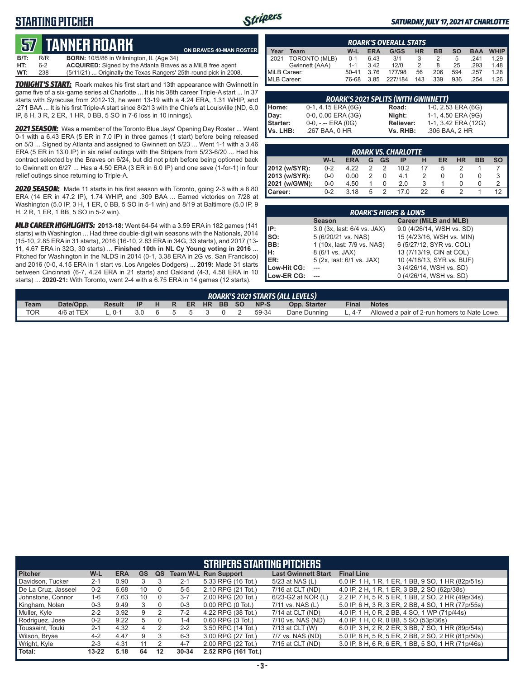## **STARTING PITCHER**



#### *SATURDAY, JULY 17, 2021 AT CHARLOTTE*

# **57****TANNER ROARK**

**B/T:** R/R **BORN:** 10/5/86 in Wilmington, IL (Age 34)<br>**HT:** 6-2 **ACQUIRED:** Signed by the Atlanta Braves 6-2 **ACQUIRED:** Signed by the Atlanta Braves as a MiLB free agent<br>238 (5/11/21) ... Originally the Texas Rangers' 25th-round pick in 200 **WT:** 238 (5/11/21) ... Originally the Texas Rangers' 25th-round pick in 2008. **ON BRAVES 40-MAN ROSTER**

*TONIGHT'S START:* Roark makes his first start and 13th appearance with Gwinnett in game five of a six-game series at Charlotte ... It is his 38th career Triple-A start ... In 37 starts with Syracuse from 2012-13, he went 13-19 with a 4.24 ERA, 1.31 WHIP, and .271 BAA ... It is his first Triple-A start since 8/2/13 with the Chiefs at Louisville (ND, 6.0 IP, 8 H, 3 R, 2 ER, 1 HR, 0 BB, 5 SO in 7-6 loss in 10 innings).

*2021 SEASON:* Was a member of the Toronto Blue Jays' Opening Day Roster ... Went 0-1 with a 6.43 ERA (5 ER in 7.0 IP) in three games (1 start) before being released on 5/3 ... Signed by Atlanta and assigned to Gwinnett on 5/23 ... Went 1-1 with a 3.46 ERA (5 ER in 13.0 IP) in six relief outings with the Stripers from 5/23-6/20 ... Had his contract selected by the Braves on 6/24, but did not pitch before being optioned back to Gwinnett on 6/27 ... Has a 4.50 ERA (3 ER in 6.0 IP) and one save (1-for-1) in four relief outings since returning to Triple-A.

*2020 SEASON:* Made 11 starts in his first season with Toronto, going 2-3 with a 6.80 ERA (14 ER in 47.2 IP), 1.74 WHIP, and .309 BAA ... Earned victories on 7/28 at Washington (5.0 IP, 3 H, 1 ER, 0 BB, 5 SO in 5-1 win) and 8/19 at Baltimore (5.0 IP, 9 H, 2 R, 1 ER, 1 BB, 5 SO in 5-2 win).

*MLB CAREER HIGHLIGHTS:* **2013-18:** Went 64-54 with a 3.59 ERA in 182 games (141 starts) with Washington ... Had three double-digit win seasons with the Nationals, 2014 (15-10, 2.85 ERA in 31 starts), 2016 (16-10, 2.83 ERA in 34G, 33 starts), and 2017 (13- 11, 4.67 ERA in 32G, 30 starts) ... **Finished 10th in NL Cy Young voting in 2016** ... Pitched for Washington in the NLDS in 2014 (0-1, 3.38 ERA in 2G vs. San Francisco) and 2016 (0-0, 4.15 ERA in 1 start vs. Los Angeles Dodgers) ... **2019:** Made 31 starts between Cincinnati (6-7, 4.24 ERA in 21 starts) and Oakland (4-3, 4.58 ERA in 10 starts) ... **2020-21:** With Toronto, went 2-4 with a 6.75 ERA in 14 games (12 starts).

| <b>ROARK'S OVERALL STATS</b> |                |         |            |         |           |           |           |            |             |
|------------------------------|----------------|---------|------------|---------|-----------|-----------|-----------|------------|-------------|
| Year                         | Team           | $W-L$   | <b>ERA</b> | G/GS    | <b>HR</b> | <b>BB</b> | <b>SO</b> | <b>BAA</b> | <b>WHIP</b> |
| 2021                         | TORONTO (MLB)  | $0 - 1$ | 6.43       | 3/1     |           |           | 5         | 241        | 1 29        |
|                              | Gwinnett (AAA) | $1 - 1$ | 3.42       | 12/0    |           | 8         | 25        | .293       | 1.48        |
| MiLB Career:                 |                | $50-41$ | 3.76       | 177/98  | 56        | 206       | 594       | 257        | 1 28        |
| MLB Career:                  |                | 76-68   | 3.85       | 227/184 | 143       | 339       | 936       | 254        | 1 26        |

| <b>ROARK'S 2021 SPLITS (WITH GWINNETT)</b> |                       |           |                     |  |  |
|--------------------------------------------|-----------------------|-----------|---------------------|--|--|
|                                            | 0-1, 4.15 ERA (6G)    | Road:     | 1-0, 2.53 ERA (6G)  |  |  |
|                                            | 0-0, 0.00 ERA (3G)    | Night:    | 1-1, 4.50 ERA (9G)  |  |  |
|                                            | $0-0, - -$ ERA $(0G)$ | Reliever: | 1-1, 3.42 ERA (12G) |  |  |
| Home:<br>Day:<br>Starter:<br>Vs. LHB:      | .267 BAA, 0 HR        | Vs. RHB:  | .306 BAA, 2 HR      |  |  |

|                  | <b>ROARK VS. CHARLOTTE</b>                                        |      |   |  |      |    |   |  |  |    |  |  |  |  |  |
|------------------|-------------------------------------------------------------------|------|---|--|------|----|---|--|--|----|--|--|--|--|--|
|                  | W-L<br>HR<br>ER<br>ВB<br><b>SO</b><br>GS<br><b>ERA</b><br>ΙP<br>G |      |   |  |      |    |   |  |  |    |  |  |  |  |  |
| 2012 (w/SYR):    | $0 - 2$                                                           | 4 22 | 2 |  | 10.2 | 17 | 5 |  |  |    |  |  |  |  |  |
| 2013 (w/SYR):    | $0 - 0$                                                           | 0.00 |   |  | 4.1  |    |   |  |  |    |  |  |  |  |  |
| 2021 (w/GWN):    | $0-0$                                                             | 4.50 |   |  | 20   |    |   |  |  |    |  |  |  |  |  |
| <b>I</b> Career: | $0 - 2$                                                           | 3.18 | 5 |  | 17 N | 22 |   |  |  | 12 |  |  |  |  |  |

|             | <b>ROARK'S HIGHS &amp; LOWS</b> |                           |
|-------------|---------------------------------|---------------------------|
|             | <b>Season</b>                   | Career (MiLB and MLB)     |
| IP:         | 3.0 (3x, last: 6/4 vs. JAX)     | 9.0 (4/26/14, WSH vs. SD) |
| so:         | 5 (6/20/21 vs. NAS)             | 15 (4/23/16, WSH vs. MIN) |
| IBB:        | 1 (10x, last: 7/9 vs. NAS)      | 6 (5/27/12, SYR vs. COL)  |
| IH:         | 8 (6/1 vs. JAX)                 | 13 (7/13/19, CIN at COL)  |
| IER:        | 5 (2x, last: 6/1 vs. JAX)       | 10 (4/18/13, SYR vs. BUF) |
| Low-Hit CG: |                                 | 3 (4/26/14, WSH vs. SD)   |
| Low-ER CG:  |                                 | 0 (4/26/14, WSH vs. SD)   |

|             | ROARK'S 2021 STARTS (ALL LEVELS) |               |     |   |    |               |  |          |  |             |              |              |                                              |  |
|-------------|----------------------------------|---------------|-----|---|----|---------------|--|----------|--|-------------|--------------|--------------|----------------------------------------------|--|
| <b>Team</b> | Date/Opp.                        | <b>Result</b> | IP  | H |    | R ER HR BB SO |  |          |  | <b>NP-S</b> | Opp. Starter | <b>Final</b> | <b>Notes</b>                                 |  |
| <b>TOR</b>  | 4/6 at TEX                       |               | 3.0 |   | 65 |               |  | $\Omega$ |  | 59-34       | Dane Dunning | $1\quad 4-7$ | Allowed a pair of 2-run homers to Nate Lowe. |  |
|             |                                  |               |     |   |    |               |  |          |  |             |              |              |                                              |  |

|                     |           |            |    |    |         | <b>STRIPERS STARTING PITCHERS</b> |                            |                                                    |
|---------------------|-----------|------------|----|----|---------|-----------------------------------|----------------------------|----------------------------------------------------|
| <b>Pitcher</b>      | W-L       | <b>ERA</b> | GS | QS |         | <b>Team W-L Run Support</b>       | <b>Last Gwinnett Start</b> | <b>Final Line</b>                                  |
| Davidson, Tucker    | $2 - 1$   | 0.90       |    |    | $2 - 1$ | 5.33 RPG (16 Tot.)                | 5/23 at NAS (L)            | 6.0 IP, 1 H, 1 R, 1 ER, 1 BB, 9 SO, 1 HR (82p/51s) |
| De La Cruz, Jasseel | $0 - 2$   | 6.68       | 10 |    | $5 - 5$ | 2.10 RPG (21 Tot.)                | 7/16 at CLT (ND)           | 4.0 IP, 2 H, 1 R, 1 ER, 3 BB, 2 SO (62p/38s)       |
| Johnstone, Connor   | 1-6       | 7.63       | 10 |    | $3 - 7$ | 2.00 RPG (20 Tot.)                | 6/23-G2 at NOR (L)         | 2.2 IP, 7 H, 5 R, 5 ER, 1 BB, 2 SO, 2 HR (49p/34s) |
| Kingham, Nolan      | $0 - 3$   | 9.49       |    |    | $0 - 3$ | $0.00$ RPG $(0$ Tot.)             | 7/11 vs. NAS (L)           | 5.0 IP, 6 H, 3 R, 3 ER, 2 BB, 4 SO, 1 HR (77p/55s) |
| Muller, Kyle        | $2 - 2$   | 3.92       | 9  |    | $7-2$   | 4.22 RPG (38 Tot.)                | 7/14 at CLT (ND)           | 4.0 IP, 1 H, 0 R, 2 BB, 4 SO, 1 WP (71p/44s)       |
| Rodriguez, Jose     | $0 - 2$   | 9.22       | 5  |    | $1 - 4$ | 0.60 RPG (3 Tot.)                 | 7/10 vs. NAS (ND)          | 4.0 IP, 1 H, 0 R, 0 BB, 5 SO (53p/36s)             |
| Toussaint, Touki    | $2 - 1$   | 4.32       | 4  |    | $2 - 2$ | 3.50 RPG (14 Tot.)                | 7/13 at CLT (W)            | 6.0 IP, 3 H, 2 R, 2 ER, 3 BB, 7 SO, 1 HR (89p/54s) |
| Wilson, Bryse       | $4 - 2$   | 4.47       | 9  |    | $6 - 3$ | 3.00 RPG (27 Tot.)                | 7/7 vs. NAS (ND)           | 5.0 IP, 8 H, 5 R, 5 ER, 2 BB, 2 SO, 2 HR (81p/50s) |
| Wright, Kyle        | $2 - 3$   | 4.31       |    |    | $4 - 7$ | 2.00 RPG (22 Tot.)                | 7/15 at CLT (ND)           | 3.0 IP, 8 H, 6 R, 6 ER, 1 BB, 5 SO, 1 HR (71p/46s) |
| Total:              | $13 - 22$ | 5.18       | 64 | 12 | 30-34   | 2.52 RPG (161 Tot.)               |                            |                                                    |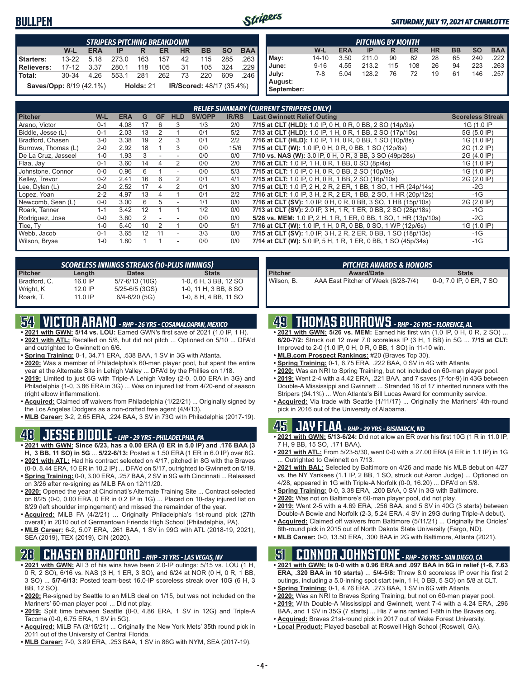### **BULLPEN**



#### *SATURDAY, JULY 17, 2021 AT CHARLOTTE*

|                         |           |            | <b>STRIPERS PITCHING BREAKDOWN</b> |             |     |           |                                 |           |            |
|-------------------------|-----------|------------|------------------------------------|-------------|-----|-----------|---------------------------------|-----------|------------|
|                         | W-L       | <b>ERA</b> | IP                                 | R           | ER. | <b>HR</b> | <b>BB</b>                       | <b>SO</b> | <b>BAA</b> |
| Starters:               | $13 - 22$ | 5.18       | 273.0                              | 163         | 157 | 42        | 115                             | 285       | .263       |
| Relievers:              | $17-12$   | 3.37       | 280.1                              | 118         | 105 | 31        | 105                             | 324       | .229       |
| Total:                  | 30-34     | 4.26       | 553.1                              | - 281       | 262 | 73        | 220                             | 609       | .246       |
| Saves/Opp: 8/19 (42.1%) |           |            |                                    | Holds: $21$ |     |           | <b>IR/Scored: 48/17 (35.4%)</b> |           |            |

|                       |           |            | <b>PITCHING BY MONTH</b> |     |     |           |           |           |            |
|-----------------------|-----------|------------|--------------------------|-----|-----|-----------|-----------|-----------|------------|
|                       | W-L       | <b>ERA</b> | IP                       | R   | ER  | <b>HR</b> | <b>BB</b> | <b>SO</b> | <b>BAA</b> |
| May:                  | $14 - 10$ | 3.50       | 211.0                    | 90  | 82  | 28        | 65        | 240       | .222 I     |
| June:                 | $9 - 16$  | 4.55       | 213.2                    | 115 | 108 | 26        | 94        | 223       | .263 I     |
| July:                 | 7-8       | 5.04       | 128.2                    | 76  | 72  | 19        | 61        | 146       | .257       |
| August:<br>September: |           |            |                          |     |     |           |           |           |            |

|                     |         |            |                |           |                          |               |              | <b>RELIEF SUMMARY (CURRENT STRIPERS ONLY)</b>                    |                         |
|---------------------|---------|------------|----------------|-----------|--------------------------|---------------|--------------|------------------------------------------------------------------|-------------------------|
| <b>Pitcher</b>      | W-L     | <b>ERA</b> | G              | <b>GF</b> | <b>HLD</b>               | <b>SV/OPP</b> | <b>IR/RS</b> | <b>Last Gwinnett Relief Outing</b>                               | <b>Scoreless Streak</b> |
| Arano, Victor       | $0 - 1$ | 4.08       | 17             | 6         | 3                        | 1/3           | 2/0          | 7/15 at CLT (HLD): 1.0 IP, 0 H, 0 R, 0 BB, 2 SO (14p/9s)         | 1G (1.0 IP              |
| Biddle, Jesse (L)   | $0 - 1$ | 2.03       | 13             | 2         |                          | 0/1           | 5/2          | 7/13 at CLT (HLD): 1.0 IP, 1 H, 0 R, 1 BB, 2 SO (17p/10s)        | 5G (5.0 IP)             |
| Bradford, Chasen    | $3-0$   | 3.38       | 19             |           | 3                        | 0/1           | 2/2          | 7/16 at CLT (HLD): 1.0 IP, 1 H, 0 R, 0 BB, 1 SO (10p/8s)         | 1G (1.0 IP)             |
| Burrows, Thomas (L) | $2 - 0$ | 2.92       | 18             |           | 3                        | 0/0           | 15/6         | 7/15 at CLT (W): 1.0 IP, 0 H, 0 R, 0 BB, 1 SO (12p/8s)           | 2G (1.2 IP)             |
| De La Cruz, Jasseel | $1 - 0$ | 1.93       | 3              |           |                          | 0/0           | 0/0          | 7/10 vs. NAS (W): 3.0 IP, 0 H, 0 R, 3 BB, 3 SO (49p/28s)         | 2G (4.0 IP)             |
| Flaa, Jay           | $0 - 1$ | 3.60       | 14             |           |                          | 0/0           | 2/0          | 7/16 at CLT: 1.0 IP, 1 H, 0 R, 1 BB, 0 SO (8p/4s)                | 1G (1.0 IP)             |
| Johnstone, Connor   | $0 - 0$ | 0.96       | 6              |           |                          | 0/0           | 5/3          | 7/15 at CLT: 1.0 IP, 0 H, 0 R, 0 BB, 2 SO (10p/8s)               | 1G (1.0 IP)             |
| Kelley, Trevor      | $0 - 2$ | 2.41       | 16             | 6         |                          | 0/1           | 4/1          | 7/15 at CLT: 1.0 IP, 0 H, 0 R, 1 BB, 2 SO (16p/10s)              | 2G (2.0 IP)             |
| Lee, Dylan (L)      | $2 - 0$ | 2.52       | 17             | 4         |                          | 0/1           | 3/0          | 7/15 at CLT: 1.0 IP, 2 H, 2 R, 2 ER, 1 BB, 1 SO, 1 HR (24p/14s)  | $-2G$                   |
| Lopez, Yoan         | $2 - 2$ | 4.97       | 13             | 4         |                          | 0/1           | 2/2          | 7/16 at CLT: 1.0 IP, 3 H, 2 R, 2 ER, 1 BB, 2 SO, 1 HR (20p/12s)  | $-1G$                   |
| Newcomb, Sean (L)   | $0 - 0$ | 3.00       | 6              | 5.        |                          | 1/1           | 0/0          | 7/16 at CLT (SV): 1.0 IP, 0 H, 0 R, 0 BB, 3 SO, 1 HB (15p/10s)   | 2G (2.0 IP)             |
| Roark, Tanner       | $1 - 1$ | 3.42       | 12             |           |                          | 1/2           | 0/0          | 7/13 at CLT (SV): 2.0 IP, 3 H, 1 R, 1 ER, 0 BB, 2 SO (28p/18s)   | -1G                     |
| Rodriguez, Jose     | $0 - 0$ | 3.60       | $\mathfrak{p}$ |           |                          | 0/0           | 0/0          | 5/26 vs. MEM: 1.0 IP, 2 H, 1 R, 1 ER, 0 BB, 1 SO, 1 HR (13p/10s) | $-2G$                   |
| Tice, Ty            | $1 - 0$ | 5.40       | 10             |           |                          | 0/0           | 5/1          | 7/16 at CLT (W): 1.0 IP, 1 H, 0 R, 0 BB, 0 SO, 1 WP (12p/6s)     | 1G (1.0 IP)             |
| Webb, Jacob         | $0 - 1$ | 3.65       | 12             | 11        | $\overline{\phantom{a}}$ | 3/3           | 0/0          | 7/15 at CLT (SV): 1.0 IP, 3 H, 2 R, 2 ER, 0 BB, 1 SO (18p/13s)   | $-1G$                   |
| Wilson, Bryse       | $1 - 0$ | 1.80       |                |           | $\overline{\phantom{a}}$ | 0/0           | 0/0          | 7/14 at CLT (W): 5.0 IP, 5 H, 1 R, 1 ER, 0 BB, 1 SO (45p/34s)    | $-1G$                   |

|                |           | <b>SCORELESS INNINGS STREAKS (10-PLUS INNINGS)</b> |                       |
|----------------|-----------|----------------------------------------------------|-----------------------|
| <b>Pitcher</b> | Length    | <b>Dates</b>                                       | <b>Stats</b>          |
| Bradford, C.   | $16.0$ IP | 5/7-6/13 (10G)                                     | 1-0, 6 H, 3 BB, 12 SO |
| Wright, K      | 12.0 IP   | 5/25-6/5 (3GS)                                     | 1-0, 11 H, 3 BB, 8 SO |
| Roark, T.      | $11.0$ IP | $6/4 - 6/20$ (5G)                                  | 1-0, 8 H, 4 BB, 11 SO |

# **54 VICTOR ARANO** *- RHP - 26 YRS - COSAMALOAPAN, MEXICO*

- **• 2021 with GWN: 5/14 vs. LOU:** Earned GWN's first save of 2021 (1.0 IP, 1 H). **• 2021 with ATL:** Recalled on 5/8, but did not pitch ... Optioned on 5/10 ... DFA'd and outrighted to Gwinnett on 6/6.
- **• Spring Training:** 0-1, 34.71 ERA, .538 BAA, 1 SV in 3G with Atlanta.
- **• 2020:** Was a member of Philadelphia's 60-man player pool, but spent the entire year at the Alternate Site in Lehigh Valley ... DFA'd by the Phillies on 1/18.
- **• 2019:** Limited to just 6G with Triple-A Lehigh Valley (2-0, 0.00 ERA in 3G) and Philadelphia (1-0, 3.86 ERA in 3G) ... Was on injured list from 4/20-end of season (right elbow inflammation).
- **• Acquired:** Claimed off waivers from Philadelphia (1/22/21) ... Originally signed by the Los Angeles Dodgers as a non-drafted free agent (4/4/13).
- **• MLB Career:** 3-2, 2.65 ERA, .224 BAA, 3 SV in 73G with Philadelphia (2017-19).

# **48 JESSE BIDDLE** *- LHP - 29 YRS - PHILADELPHIA, PA*

- **• 2021 with GWN: Since 6/23, has a 0.00 ERA (0 ER in 5.0 IP) and .176 BAA (3 H, 3 BB, 11 SO) in 5G** ... **5/22-6/13:** Posted a 1.50 ERA (1 ER in 6.0 IP) over 6G.
- **• 2021 with ATL:** Had his contract selected on 4/17, pitched in 8G with the Braves (0-0, 8.44 ERA, 10 ER in 10.2 IP) ... DFA'd on 5/17, outrighted to Gwinnett on 5/19.
- **• Spring Training:** 0-0, 3.00 ERA, .257 BAA, 2 SV in 9G with Cincinnati ... Released on 3/26 after re-signing as MiLB FA on 12/11/20.
- **• 2020:** Opened the year at Cincinnati's Alternate Training Site ... Contract selected on 8/25 (0-0, 0.00 ERA, 0 ER in 0.2 IP in 1G) ... Placed on 10-day injured list on 8/29 (left shoulder impingement) and missed the remainder of the year.
- **• Acquired:** MiLB FA (4/2/21) ... Originally Philadelphia's 1st-round pick (27th overall) in 2010 out of Germantown Friends High School (Philadelphia, PA).
- **• MLB Career:** 6-2, 5.07 ERA, .261 BAA, 1 SV in 99G with ATL (2018-19, 2021), SEA (2019), TEX (2019), CIN (2020).

### **28 CHASEN BRADFORD** *- RHP - 31 YRS - LAS VEGAS, NV*

- **• 2021 with GWN:** All 3 of his wins have been 2.0-IP outings: 5/15 vs. LOU (1 H, 0 R, 2 SO), 6/16 vs. NAS (3 H, 1 ER, 3 SO), and 6/24 at NOR (0 H, 0 R, 1 BB, 3 SO) ... **5/7-6/13:** Posted team-best 16.0-IP scoreless streak over 10G (6 H, 3 BB, 12 SO).
- **• 2020:** Re-signed by Seattle to an MiLB deal on 1/15, but was not included on the Mariners' 60-man player pool ... Did not play.
- **• 2019:** Split time between Seattle (0-0, 4.86 ERA, 1 SV in 12G) and Triple-A Tacoma (0-0, 6.75 ERA, 1 SV in 5G).
- **• Acquired:** MiLB FA (3/15/21) ... Originally the New York Mets' 35th round pick in 2011 out of the University of Central Florida.
- **• MLB Career:** 7-0, 3.89 ERA, .253 BAA, 1 SV in 86G with NYM, SEA (2017-19).

|                | <b>PITCHER AWARDS &amp; HONORS</b>  |                         |
|----------------|-------------------------------------|-------------------------|
| <b>Pitcher</b> | <b>Award/Date</b>                   | <b>Stats</b>            |
| Wilson, B.     | AAA East Pitcher of Week (6/28-7/4) | 0-0, 7.0 IP, 0 ER, 7 SO |

# **49 THOMAS BURROWS** *- RHP - 26 YRS - FLORENCE, AL*

- **• 2021 with GWN: 5/26 vs. MEM:** Earned his first win (1.0 IP, 0 H, 0 R, 2 SO) ... **6/20-7/2:** Struck out 12 over 7.0 scoreless IP (3 H, 1 BB) in 5G ... **7/15 at CLT:** Improved to 2-0 (1.0 IP, 0 H, 0 R, 0 BB, 1 SO) in 11-10 win.
- **• MLB.com Prospect Rankings:** #20 (Braves Top 30).
- **• Spring Training:** 0-1, 6.75 ERA, .222 BAA, 0 SV in 4G with Atlanta.
- **• 2020:** Was an NRI to Spring Training, but not included on 60-man player pool.
- **• 2019:** Went 2-4 with a 4.42 ERA, .221 BAA, and 7 saves (7-for-9) in 43G between Double-A Mississippi and Gwinnett ... Stranded 16 of 17 inherited runners with the Stripers (94.1%) ... Won Atlanta's Bill Lucas Award for community service.
- **• Acquired:** Via trade with Seattle (1/11/17) ... Originally the Mariners' 4th-round pick in 2016 out of the University of Alabama.

### **45 JAY FLAA** *- RHP - 29 YRS - BISMARCK, ND*

- **• 2021 with GWN: 5/13-6/24:** Did not allow an ER over his first 10G (1 R in 11.0 IP, 7 H, 9 BB, 15 SO, .171 BAA).
- **• 2021 with ATL:** From 5/23-5/30, went 0-0 with a 27.00 ERA (4 ER in 1.1 IP) in 1G Outrighted to Gwinnett on 7/13.
- **• 2021 with BAL:** Selected by Baltimore on 4/26 and made his MLB debut on 4/27 vs. the NY Yankees (1.1 IP, 2 BB, 1 SO, struck out Aaron Judge) ... Optioned on 4/28, appeared in 1G with Triple-A Norfolk (0-0, 16.20) ... DFA'd on 5/8.
- **• Spring Training:** 0-0, 3.38 ERA, .200 BAA, 0 SV in 3G with Baltimore.
- **• 2020:** Was not on Baltimore's 60-man player pool, did not play.
- **• 2019:** Went 2-5 with a 4.69 ERA, .256 BAA, and 5 SV in 40G (3 starts) between Double-A Bowie and Norfolk (2-3, 5.24 ERA, 4 SV in 29G during Triple-A debut).
- **• Acquired:** Claimed off waivers from Baltimore (5/11/21) ... Originally the Orioles' 6th-round pick in 2015 out of North Dakota State University (Fargo, ND).
- **• MLB Career:** 0-0, 13.50 ERA, .300 BAA in 2G with Baltimore, Atlanta (2021).

### **51 CONNOR JOHNSTONE** *- RHP - 26 YRS - SAN DIEGO, CA*

- **• 2021 with GWN: Is 0-0 with a 0.96 ERA and .097 BAA in 6G in relief (1-6, 7.63 ERA, .320 BAA in 10 starts)** ... **5/4-5/8:** Threw 8.0 scoreless IP over his first 2 outings, including a 5.0-inning spot start (win, 1 H, 0 BB, 5 SO) on 5/8 at CLT.
- **• Spring Training:** 0-1, 4.76 ERA, .273 BAA, 1 SV in 6G with Atlanta.
- **• 2020:** Was an NRI to Braves Spring Training, but not on 60-man player pool.
- **• 2019:** With Double-A Mississippi and Gwinnett, went 7-4 with a 4.24 ERA, .296 BAA, and 1 SV in 35G (7 starts) ... His 7 wins ranked T-8th in the Braves org.
- **• Acquired:** Braves 21st-round pick in 2017 out of Wake Forest University.
- **• Local Product:** Played baseball at Roswell High School (Roswell, GA).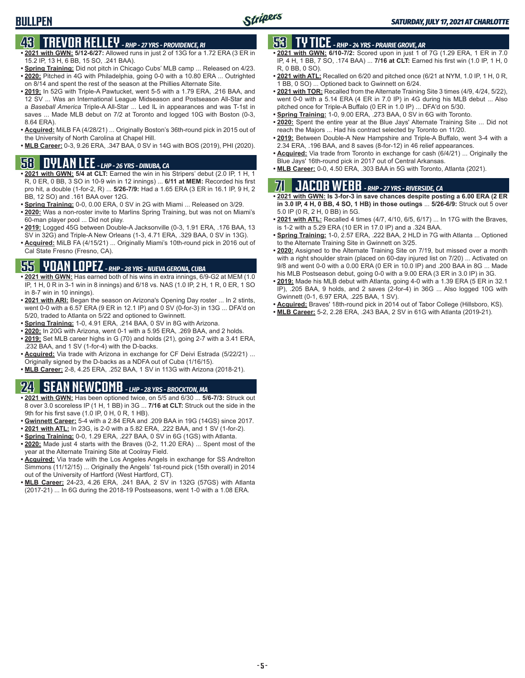# **43 TREVOR KELLEY** *- RHP - 27 YRS - PROVIDENCE, RI*

- **• 2021 with GWN: 5/12-6/27:** Allowed runs in just 2 of 13G for a 1.72 ERA (3 ER in 15.2 IP, 13 H, 6 BB, 15 SO, .241 BAA).
- **• Spring Training:** Did not pitch in Chicago Cubs' MLB camp ... Released on 4/23. **• 2020:** Pitched in 4G with Philadelphia, going 0-0 with a 10.80 ERA ... Outrighted
- on 8/14 and spent the rest of the season at the Phillies Alternate Site. **• 2019:** In 52G with Triple-A Pawtucket, went 5-5 with a 1.79 ERA, .216 BAA, and
- 12 SV ... Was an International League Midseason and Postseason All-Star and a *Baseball America* Triple-A All-Star ... Led IL in appearances and was T-1st in saves ... Made MLB debut on 7/2 at Toronto and logged 10G with Boston (0-3, 8.64 ERA).
- **• Acquired:** MiLB FA (4/28/21) ... Originally Boston's 36th-round pick in 2015 out of the University of North Carolina at Chapel Hill.
- **• MLB Career:** 0-3, 9.26 ERA, .347 BAA, 0 SV in 14G with BOS (2019), PHI (2020).

# Blue Jays' 16th-round pick in 2017 out of Central Arkansas. **58 • MLB Career:** 0-0, 4.50 ERA, .303 BAA in 5G with Toronto, Atlanta (2021). **DYLAN LEE** *- LHP - 26 YRS - DINUBA, CA*

- **• 2021 with GWN: 5/4 at CLT:** Earned the win in his Stripers' debut (2.0 IP, 1 H, 1 R, 0 ER, 0 BB, 3 SO in 10-9 win in 12 innings) ... **6/11 at MEM:** Recorded his first pro hit, a double (1-for-2, R) ... **5/26-7/9:** Had a 1.65 ERA (3 ER in 16.1 IP, 9 H, 2 BB, 12 SO) and .161 BAA over 12G.
- **• Spring Training:** 0-0, 0.00 ERA, 0 SV in 2G with Miami ... Released on 3/29.
- **• 2020:** Was a non-roster invite to Marlins Spring Training, but was not on Miami's 60-man player pool ... Did not play.
- **• 2019:** Logged 45G between Double-A Jacksonville (0-3, 1.91 ERA, .176 BAA, 13 SV in 32G) and Triple-A New Orleans (1-3, 4.71 ERA, .329 BAA, 0 SV in 13G).
- **• Acquired:** MiLB FA (4/15/21) ... Originally Miami's 10th-round pick in 2016 out of Cal State Fresno (Fresno, CA).

### **55 YOAN LOPEZ** *- RHP - 28 YRS - NUEVA GERONA, CUBA*

- **• 2021 with GWN:** Has earned both of his wins in extra innings, 6/9-G2 at MEM (1.0 IP, 1 H, 0 R in 3-1 win in 8 innings) and 6/18 vs. NAS (1.0 IP, 2 H, 1 R, 0 ER, 1 SO in 8-7 win in 10 innings).
- **• 2021 with ARI:** Began the season on Arizona's Opening Day roster ... In 2 stints, went 0-0 with a 6.57 ERA (9 ER in 12.1 IP) and 0 SV (0-for-3) in 13G ... DFA'd on 5/20, traded to Atlanta on 5/22 and optioned to Gwinnett.
- **• Spring Training:** 1-0, 4.91 ERA, .214 BAA, 0 SV in 8G with Arizona.
- **• 2020:** In 20G with Arizona, went 0-1 with a 5.95 ERA, .269 BAA, and 2 holds. **• 2019:** Set MLB career highs in G (70) and holds (21), going 2-7 with a 3.41 ERA, .232 BAA, and 1 SV (1-for-4) with the D-backs.
- **• Acquired:** Via trade with Arizona in exchange for CF Deivi Estrada (5/22/21) ... Originally signed by the D-backs as a NDFA out of Cuba (1/16/15).
- **• MLB Career:** 2-8, 4.25 ERA, .252 BAA, 1 SV in 113G with Arizona (2018-21).

# **24 SEAN NEWCOMB** *- LHP - 28 YRS - BROCKTON, MA*

- **• 2021 with GWN:** Has been optioned twice, on 5/5 and 6/30 ... **5/6-7/3:** Struck out 8 over 3.0 scoreless IP (1 H, 1 BB) in 3G ... **7/16 at CLT:** Struck out the side in the 9th for his first save (1.0 IP, 0 H, 0 R, 1 HB).
- **• Gwinnett Career:** 5-4 with a 2.84 ERA and .209 BAA in 19G (14GS) since 2017.
- **• 2021 with ATL:** In 23G, is 2-0 with a 5.82 ERA, .222 BAA, and 1 SV (1-for-2).
- **• Spring Training:** 0-0, 1.29 ERA, .227 BAA, 0 SV in 6G (1GS) with Atlanta.
- **• 2020:** Made just 4 starts with the Braves (0-2, 11.20 ERA) ... Spent most of the year at the Alternate Training Site at Coolray Field.
- **• Acquired:** Via trade with the Los Angeles Angels in exchange for SS Andrelton Simmons (11/12/15) ... Originally the Angels' 1st-round pick (15th overall) in 2014 out of the University of Hartford (West Hartford, CT).
- **• MLB Career:** 24-23, 4.26 ERA, .241 BAA, 2 SV in 132G (57GS) with Atlanta (2017-21) ... In 6G during the 2018-19 Postseasons, went 1-0 with a 1.08 ERA.

### **53 TY TICE** *- RHP - 24 YRS - PRAIRIE GROVE, AR*

- **• 2021 with GWN: 6/10-7/2:** Scored upon in just 1 of 7G (1.29 ERA, 1 ER in 7.0 IP, 4 H, 1 BB, 7 SO, .174 BAA) ... **7/16 at CLT:** Earned his first win (1.0 IP, 1 H, 0 R, 0 BB, 0 SO).
- **• 2021 with ATL:** Recalled on 6/20 and pitched once (6/21 at NYM, 1.0 IP, 1 H, 0 R, 1 BB, 0 SO) ... Optioned back to Gwinnett on 6/24.
- **• 2021 with TOR:** Recalled from the Alternate Training Site 3 times (4/9, 4/24, 5/22), went 0-0 with a 5.14 ERA (4 ER in 7.0 IP) in 4G during his MLB debut ... Also pitched once for Triple-A Buffalo (0 ER in 1.0 IP) ... DFA'd on 5/30.
- **• Spring Training:** 1-0, 9.00 ERA, .273 BAA, 0 SV in 6G with Toronto.
- **• 2020:** Spent the entire year at the Blue Jays' Alternate Training Site ... Did not reach the Majors ... Had his contract selected by Toronto on 11/20.
- **• 2019:** Between Double-A New Hampshire and Triple-A Buffalo, went 3-4 with a 2.34 ERA, .196 BAA, and 8 saves (8-for-12) in 46 relief appearances.
- **• Acquired:** Via trade from Toronto in exchange for cash (6/4/21) ... Originally the
- 

# **71 JACOB WEBB** *- RHP - 27 YRS - RIVERSIDE, CA*

**• 2021 with GWN: Is 3-for-3 in save chances despite posting a 6.00 ERA (2 ER in 3.0 IP, 4 H, 0 BB, 4 SO, 1 HB) in those outings** ... **5/26-6/9:** Struck out 5 over 5.0 IP (0 R, 2 H, 0 BB) in 5G.

- **• 2021 with ATL:** Recalled 4 times (4/7, 4/10, 6/5, 6/17) ... In 17G with the Braves, is 1-2 with a 5.29 ERA (10 ER in 17.0 IP) and a .324 BAA.
- **• Spring Training:** 1-0, 2.57 ERA, .222 BAA, 2 HLD in 7G with Atlanta ... Optioned to the Alternate Training Site in Gwinnett on 3/25.
- **• 2020:** Assigned to the Alternate Training Site on 7/19, but missed over a month with a right shoulder strain (placed on 60-day injured list on 7/20) ... Activated on 9/8 and went 0-0 with a 0.00 ERA (0 ER in 10.0 IP) and .200 BAA in 8G ... Made his MLB Postseason debut, going 0-0 with a 9.00 ERA (3 ER in 3.0 IP) in 3G.
- **• 2019:** Made his MLB debut with Atlanta, going 4-0 with a 1.39 ERA (5 ER in 32.1 IP), .205 BAA, 9 holds, and 2 saves (2-for-4) in 36G ... Also logged 10G with Gwinnett (0-1, 6.97 ERA, .225 BAA, 1 SV).
- **• Acquired:** Braves' 18th-round pick in 2014 out of Tabor College (Hillsboro, KS).
- **• MLB Career:** 5-2, 2.28 ERA, .243 BAA, 2 SV in 61G with Atlanta (2019-21).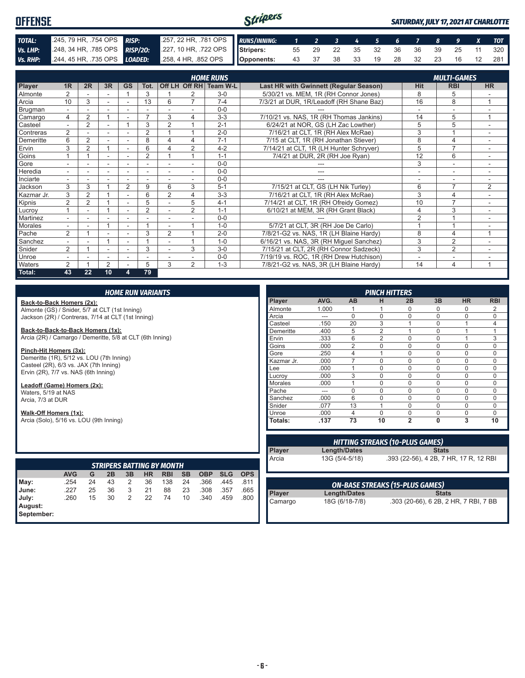#### Stripers **OFFENSE** *SATURDAY, JULY 17, 2021 AT CHARLOTTE TOTAL:* .245, 79 HR, .754 OPS *RISP:* .257, 22 HR, .781 OPS *RUNS/INNING: 1 2 3 4 5 6 7 8 9 X TOT Vs. LHP:* .248, 34 HR, .785 OPS *RISP/2O:* .227, 10 HR, .722 OPS **Stripers:** 55 29 22 35 32 36 36 39 25 11 320 **Vs. RHP:** .244, 45 HR, .735 OPS **LOADED:** .258, 4 HR, .852 OPS **Opponents:** 43 37 38 33 19 28 32 23 16 12 281

|                            |                          |                |                          |                          |                          |                |                | <b>HOME RUNS</b>       |                                          |                          | <b>MULTI-GAMES</b>       |                |
|----------------------------|--------------------------|----------------|--------------------------|--------------------------|--------------------------|----------------|----------------|------------------------|------------------------------------------|--------------------------|--------------------------|----------------|
| Player                     | 1 <sub>R</sub>           | 2R             | 3R                       | <b>GS</b>                | Tot.                     |                |                | Off LH Off RH Team W-L | Last HR with Gwinnett (Regular Season)   | Hit                      | <b>RBI</b>               | <b>HR</b>      |
| <b>Almonte</b>             | 2                        |                |                          |                          | 3                        |                |                | $3-0$                  | 5/30/21 vs. MEM, 1R (RH Connor Jones)    | 8                        | 5                        |                |
| Arcia                      | 10                       | 3              | $\sim$                   |                          | 13                       | 6              | $\overline{7}$ | $7 - 4$                | 7/3/21 at DUR, 1R/Leadoff (RH Shane Baz) | 16                       | 8                        | 1              |
| Brugman                    | $\overline{\phantom{0}}$ | ٠              | $\overline{\phantom{a}}$ | $\overline{\phantom{a}}$ |                          |                |                | $0 - 0$                |                                          |                          | $\overline{a}$           |                |
| Camargo                    | 4                        | $\overline{2}$ |                          |                          | ⇁                        | 3              | 4              | $3 - 3$                | 7/10/21 vs. NAS, 1R (RH Thomas Jankins)  | 14                       | 5                        | $\overline{ }$ |
| Casteel                    |                          | $\overline{2}$ |                          |                          | 3                        | $\overline{2}$ |                | $2 - 1$                | 6/24/21 at NOR, GS (LH Zac Lowther)      | 5                        | 5                        |                |
| Contreras                  | 2                        |                |                          |                          | $\overline{2}$           |                |                | $2 - 0$                | 7/16/21 at CLT, 1R (RH Alex McRae)       | 3                        |                          |                |
| Demeritte                  | 6                        | 2              |                          |                          | 8                        | л              | 4              | $7 - 1$                | 7/15 at CLT, 1R (RH Jonathan Stiever)    | 8                        | 4                        |                |
| Ervin                      | 3                        | $\overline{2}$ |                          |                          | 6                        |                | 2              | $4 - 2$                | 7/14/21 at CLT, 1R (LH Hunter Schryver)  | 5                        | $\overline{ }$           |                |
| Goins                      |                          |                |                          |                          | $\overline{2}$           |                |                | $1 - 1$                | 7/4/21 at DUR, 2R (RH Joe Ryan)          | 12                       | 6                        |                |
| Gore                       |                          |                | ۰                        |                          | ٠                        |                | ۰              | $0 - 0$                |                                          | 3                        | $\overline{\phantom{a}}$ |                |
| <b>Heredia</b>             | $\overline{a}$           |                |                          |                          |                          |                |                | $0 - 0$                |                                          | ٠                        | ٠                        |                |
| Inciarte                   | $\overline{\phantom{0}}$ |                |                          |                          | ٠                        |                |                | $0 - 0$                | ---                                      | $\overline{\phantom{a}}$ | $\overline{\phantom{a}}$ | ٠              |
| Jackson                    | 3                        | 3              |                          | 2                        | 9                        | 6              | 3              | $5 - 1$                | 7/15/21 at CLT, GS (LH Nik Turley)       | 6                        | $\overline{7}$           | 2              |
| Kazmar Jr.                 | 3                        | $\overline{2}$ |                          |                          | 6                        | $\overline{2}$ | 4              | $3-3$                  | 7/16/21 at CLT, 1R (RH Alex McRae)       | 3                        | $\overline{4}$           |                |
| Kipnis                     | $\overline{2}$           | $\overline{2}$ |                          |                          | 5                        |                | 5              | $4 - 1$                | 7/14/21 at CLT, 1R (RH Ofreidy Gomez)    | 10                       | $\overline{7}$           |                |
| Lucroy                     |                          |                |                          |                          | $\overline{2}$           |                | 2              | $1 - 1$                | 6/10/21 at MEM, 3R (RH Grant Black)      | $\overline{4}$           | 3                        | $\sim$         |
| Martinez                   | $\overline{\phantom{0}}$ |                |                          |                          | $\overline{\phantom{a}}$ |                |                | $0 - 0$                |                                          | $\overline{2}$           |                          |                |
| Morales                    |                          |                |                          |                          |                          |                |                | $1 - 0$                | 5/7/21 at CLT, 3R (RH Joe De Carlo)      |                          |                          |                |
| $\sqrt{\frac{1}{2}}$ Pache | 2                        |                | $\overline{\phantom{0}}$ |                          | 3                        | $\overline{2}$ |                | $2 - 0$                | 7/8/21-G2 vs. NAS, 1R (LH Blaine Hardy)  | 8                        | 4                        | $\overline{ }$ |
| Sanchez                    |                          |                |                          |                          |                          |                |                | $1 - 0$                | 6/16/21 vs. NAS, 3R (RH Miguel Sanchez)  | 3                        | $\overline{2}$           |                |
| Snider                     | 2                        |                | $\overline{\phantom{a}}$ | ٠                        | 3                        |                | 3              | $3-0$                  | 7/15/21 at CLT, 2R (RH Connor Sadzeck)   | 3                        | $\overline{2}$           |                |
| Unroe                      |                          |                |                          |                          |                          |                |                | $0 - 0$                | 7/19/19 vs. ROC, 1R (RH Drew Hutchison)  |                          | ٠                        |                |
| <b>Waters</b>              | $\mathfrak{D}$           |                | $\overline{2}$           |                          | 5                        | 3              | 2              | $1 - 3$                | 7/8/21-G2 vs. NAS, 3R (LH Blaine Hardy)  | 14                       | $\overline{4}$           |                |
| Total:                     | 43                       | 22             | 10                       | 4                        | 79                       |                |                |                        |                                          |                          |                          |                |

**Back-to-Back Homers (2x):**

Almonte (GS) / Snider, 5/7 at CLT (1st Inning) Jackson (2R) / Contreras, 7/14 at CLT (1st Inning)

**Back-to-Back-to-Back Homers (1x):** Arcia (2R) / Camargo / Demeritte, 5/8 at CLT (6th Inning)

**Pinch-Hit Homers (3x):** Demeritte (1R), 5/12 vs. LOU (7th Inning) Casteel (2R), 6/3 vs. JAX (7th Inning) Ervin (2R), 7/7 vs. NAS (6th Inning)

**Leadoff (Game) Homers (2x):** Waters, 5/19 at NAS Arcia, 7/3 at DUR

**Walk-Off Homers (1x):**

Arcia (Solo), 5/16 vs. LOU (9th Inning)

|                       | <b>STRIPERS BATTING BY MONTH</b> |    |    |    |           |            |           |            |            |            |  |  |  |  |  |
|-----------------------|----------------------------------|----|----|----|-----------|------------|-----------|------------|------------|------------|--|--|--|--|--|
|                       | <b>AVG</b>                       | G  | 2B | 3B | <b>HR</b> | <b>RBI</b> | <b>SB</b> | <b>OBP</b> | <b>SLG</b> | <b>OPS</b> |  |  |  |  |  |
| May:                  | .254                             | 24 | 43 | 2  | 36        | 138        | 24        | .366       | .445       | .811       |  |  |  |  |  |
| June:                 | .227                             | 25 | 36 | 3  | 21        | 88         | 23        | .308       | .357       | .665       |  |  |  |  |  |
| July:                 | .260                             | 15 | 30 | 2  | 22        | 74         | 10        | .340       | .459       | .800       |  |  |  |  |  |
| August:<br>September: |                                  |    |    |    |           |            |           |            |            |            |  |  |  |  |  |

| <b>PINCH HITTERS</b> |       |                |                |                |          |           |                |
|----------------------|-------|----------------|----------------|----------------|----------|-----------|----------------|
| Player               | AVG.  | <b>AB</b>      | н              | 2B             | 3B       | <b>HR</b> | <b>RBI</b>     |
| Almonte              | 1.000 |                |                | $\Omega$       | ი        | $\Omega$  | 2              |
| Arcia                | ---   | U              | $\Omega$       | $\mathbf 0$    | $\Omega$ | $\Omega$  | $\Omega$       |
| Casteel              | .150  | 20             | 3              | 1              | $\Omega$ |           | $\overline{4}$ |
| Demeritte            | .400  | 5              | $\overline{2}$ | 1              | $\Omega$ |           | 1              |
| Ervin                | .333  | 6              | $\overline{2}$ | $\Omega$       | $\Omega$ | 1         | 3              |
| Goins                | .000  | $\overline{2}$ | $\Omega$       | $\Omega$       | $\Omega$ | $\Omega$  | $\Omega$       |
| Gore                 | .250  | 4              | 1              | $\Omega$       | 0        | $\Omega$  | $\Omega$       |
| Kazmar Jr.           | .000  |                | $\Omega$       | $\Omega$       | $\Omega$ | $\Omega$  | $\Omega$       |
| Lee                  | .000  |                | $\Omega$       | $\Omega$       | $\Omega$ | $\Omega$  | $\Omega$       |
| Lucroy               | .000  | 3              | $\Omega$       | $\Omega$       | $\Omega$ | $\Omega$  | $\Omega$       |
| <b>Morales</b>       | .000  |                | $\Omega$       | $\Omega$       | $\Omega$ | $\Omega$  | $\Omega$       |
| Pache                | ---   | O              | $\Omega$       | $\Omega$       | $\Omega$ | $\Omega$  | $\Omega$       |
| Sanchez              | .000  | 6              | $\Omega$       | $\Omega$       | $\Omega$ | $\Omega$  | $\Omega$       |
| Snider               | .077  | 13             | 1              | $\Omega$       | $\Omega$ | $\Omega$  | $\Omega$       |
| Unroe                | .000  | 4              | $\Omega$       | $\Omega$       | $\Omega$ | $\Omega$  | $\Omega$       |
| Totals:              | .137  | 73             | 10             | $\overline{2}$ | 0        | 3         | 10             |

| <b>HITTING STREAKS (10-PLUS GAMES)</b> |                |                                        |
|----------------------------------------|----------------|----------------------------------------|
| <b>Player</b>                          | Length/Dates   | <b>Stats</b>                           |
| <b>Arcia</b>                           | 13G (5/4-5/18) | .393 (22-56), 4 2B, 7 HR, 17 R, 12 RBI |
|                                        |                |                                        |

| <b>ON-BASE STREAKS (15-PLUS GAMES)</b> |                |                                       |
|----------------------------------------|----------------|---------------------------------------|
| <b>Player</b>                          | Length/Dates   | <b>Stats</b>                          |
| Camargo                                | 18G (6/18-7/8) | .303 (20-66), 6 2B, 2 HR, 7 RBI, 7 BB |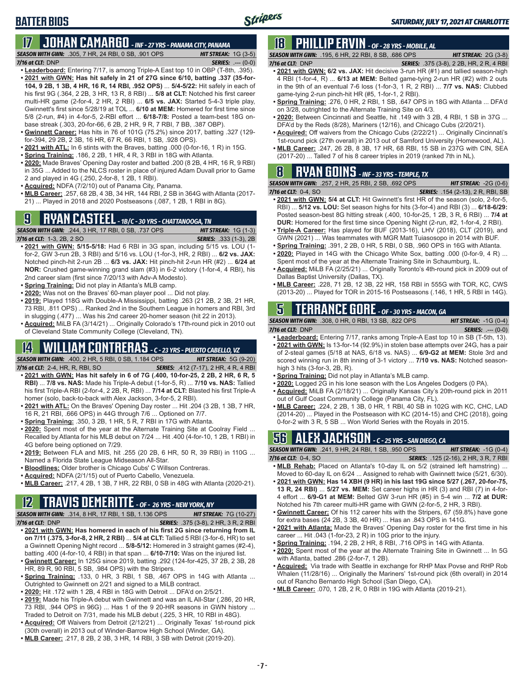# **17 JOHAN CAMARGO** *- INF - 27 YRS - PANAMA CITY, PANAMA*

*SEASON WITH GWN:*.305, 7 HR, 24 RBI, 0 SB, .901 OPS *HIT STREAK:* 1G (3-5) *7/16 at CLT:* DNP *SERIES:* .--- (0-0)

- **• Leaderboard:** Entering 7/17, is among Triple-A East top 10 in OBP (T-8th, .395). **• 2021 with GWN: Has hit safely in 21 of 27G since 6/10, batting .337 (35-for-104, 9 2B, 1 3B, 4 HR, 16 R, 14 RBI, .952 OPS)** ... **5/4-5/22:** Hit safely in each of his first 9G (.364, 2 2B, 3 HR, 13 R, 8 RBI) ... **5/8 at CLT:** Notched his first career multi-HR game (2-for-4, 2 HR, 2 RBI) ... **6/5 vs. JAX:** Started 5-4-3 triple play, Gwinnett's first since 5/28/19 at TOL ... **6/10 at MEM:** Homered for first time since 5/8 (2-run, #4) in 4-for-5, 2-RBI effort ... **6/18-7/8:** Posted a team-best 18G onbase streak (.303, 20-for-66, 6 2B, 2 HR, 9 R, 7 RBI, 7 BB, .387 OBP).
- **• Gwinnett Career:** Has hits in 76 of 101G (75.2%) since 2017, batting .327 (129 for-394, 29 2B, 2 3B, 16 HR, 67 R, 66 RBI, 1 SB, .928 OPS).
- **• 2021 with ATL:** In 6 stints with the Braves, batting .000 (0-for-16, 1 R) in 15G.
- **• Spring Training:** .186, 2 2B, 1 HR, 4 R, 3 RBI in 18G with Atlanta.
- **• 2020:** Made Braves' Opening Day roster and batted .200 (8 2B, 4 HR, 16 R, 9 RBI) in 35G ... Added to the NLCS roster in place of injured Adam Duvall prior to Game 2 and played in 4G (.250, 2-for-8, 1 2B, 1 RBI).
- **• Acquired:** NDFA (7/2/10) out of Panama City, Panama.
- **• MLB Career:** .257, 68 2B, 4 3B, 34 HR, 144 RBI, 2 SB in 364G with Atlanta (2017- 21) ... Played in 2018 and 2020 Postseasons (.087, 1 2B, 1 RBI in 8G).

### **9 RYAN CASTEEL** *- 1B/C - 30 YRS - CHATTANOOGA, TN*



- **• 2021 with GWN: 5/15-5/18:** Had 6 RBI in 3G span, including 5/15 vs. LOU (1 for-2, GW 3-run 2B, 3 RBI) and 5/16 vs. LOU (1-for-3, HR, 2 RBI) ... **6/2 vs. JAX:** Notched pinch-hit 2-run 2B ... **6/3 vs. JAX:** Hit pinch-hit 2-run HR (#2) ... **6/24 at NOR:** Crushed game-winning grand slam (#3) in 6-2 victory (1-for-4, 4 RBI), his 2nd career slam (first since 7/20/13 with Adv-A Modesto).
- **• Spring Training:** Did not play in Atlanta's MLB camp.
- **• 2020:** Was not on the Braves' 60-man player pool ... Did not play.
- **• 2019:** Played 118G with Double-A Mississippi, batting .263 (21 2B, 2 3B, 21 HR, 73 RBI, .811 OPS) ... Ranked 2nd in the Southern League in homers and RBI, 3rd in slugging (.477) ... Was his 2nd career 20-homer season (hit 22 in 2013).
- **• Acquired:** MiLB FA (3/14/21) ... Originally Colorado's 17th-round pick in 2010 out of Cleveland State Community College (Cleveland, TN).

# **14 WILLIAM CONTRERAS** *- C - 23 YRS - PUERTO CABELLO, VZ*

*SEASON WITH GWN:*.400, 2 HR, 5 RBI, 0 SB, 1.184 OPS *HIT STREAK:* 5G (9-20)

- *7/16 at CLT:*2-4, HR, R, RBI, SO *SERIES:* .412 (7-17), 2 HR, 4 R, 4 RBI **• 2021 with GWN: Has hit safely in 6 of 7G (.400, 10-for-25, 2 2B, 2 HR, 6 R, 5 RBI)** ... **7/8 vs. NAS:** Made his Triple-A debut (1-for-5, R) ... **7/10 vs. NAS:** Tallied
- his first Triple-A RBI (2-for-4, 2 2B, R, RBI) ... **7/14 at CLT:** Blasted his first Triple-A homer (solo, back-to-back with Alex Jackson, 3-for-5, 2 RBI).
- **• 2021 with ATL:** On the Braves' Opening Day roster ... Hit .204 (3 2B, 1 3B, 7 HR, 16 R, 21 RBI, .666 OPS) in 44G through 7/6 ... Optioned on 7/7.
- **• Spring Training:** .350, 3 2B, 1 HR, 5 R, 7 RBI in 17G with Atlanta.
- **• 2020:** Spent most of the year at the Alternate Training Site at Coolray Field ... Recalled by Atlanta for his MLB debut on 7/24 ... Hit .400 (4-for-10, 1 2B, 1 RBI) in 4G before being optioned on 7/29.
- **• 2019:** Between FLA and MIS, hit .255 (20 2B, 6 HR, 50 R, 39 RBI) in 110G ... Named a Florida State League Midseason All-Star.
- **• Bloodlines:** Older brother is Chicago Cubs' C Willson Contreras.
- **• Acquired:** NDFA (2/1/15) out of Puerto Cabello, Venezuela.
- **• MLB Career:** .217, 4 2B, 1 3B, 7 HR, 22 RBI, 0 SB in 48G with Atlanta (2020-21).

# **12 TRAVIS DEMERITTE** *- OF - 26 YRS - NEW YORK, NY*

*SEASON WITH GWN:*.314, 8 HR, 17 RBI, 1 SB, 1.136 OPS *HIT STREAK:* 7G (10-27) *7/16 at CLT:*DNP *SERIES:* .375 (3-8), 2 HR, 3 R, 2 RBI

- **• 2021 with GWN: Has homered in each of his first 2G since returning from IL on 7/11 (.375, 3-for-8, 2 HR, 2 RBI)** ... **5/4 at CLT:** Tallied 5 RBI (3-for-6, HR) to set a Gwinnett Opening Night record ... **5/8-5/12:** Homered in 3 straight games (#2-4), batting .400 (4-for-10, 4 RBI) in that span ... **6/10-7/10:** Was on the injured list.
- **• Gwinnett Career:** In 125G since 2019, batting .292 (124-for-425, 37 2B, 2 3B, 28 HR, 89 R, 90 RBI, 5 SB, .984 OPS) with the Stripers.
- **• Spring Training:** .133, 0 HR, 3 RBI, 1 SB, .467 OPS in 14G with Atlanta ... Outrighted to Gwinnett on 2/21 and signed to a MiLB contract.
- **• 2020:** Hit .172 with 1 2B, 4 RBI in 18G with Detroit ... DFA'd on 2/5/21.
- **• 2019:** Made his Triple-A debut with Gwinnett and was an IL All-Star (.286, 20 HR, 73 RBI, .944 OPS in 96G) ... Has 1 of the 9 20-HR seasons in GWN history ... Traded to Detroit on 7/31, made his MLB debut (.225, 3 HR, 10 RBI in 48G).
- **• Acquired:** Off Waivers from Detroit (2/12/21) ... Originally Texas' 1st-round pick (30th overall) in 2013 out of Winder-Barrow High School (Winder, GA).
- **• MLB Career:** .217, 8 2B, 2 3B, 3 HR, 14 RBI, 3 SB with Detroit (2019-20).

# **18 PHILLIP ERVIN** *- OF - 28 YRS - MOBILE, AL*

*SEASON WITH GWN:*.195, 6 HR, 22 RBI, 8 SB, .686 OPS *HIT STREAK:* 2G (3-8)

- *7/16 at CLT:*DNP *SERIES:* .375 (3-8), 2 2B, HR, 2 R, 4 RBI **• 2021 with GWN: 6/2 vs. JAX:** Hit decisive 3-run HR (#1) and tallied season-high 4 RBI (1-for-4, R) ... **6/13 at MEM:** Belted game-tying 2-run HR (#2) with 2 outs in the 9th of an eventual 7-6 loss (1-for-3, 1 R, 2 RBI) ... **7/7 vs. NAS:** Clubbed game-tying 2-run pinch-hit HR (#5, 1-for-1, 2 RBI).
- **• Spring Training:** .276, 0 HR, 2 RBI, 1 SB, .647 OPS in 18G with Atlanta ... DFA'd on 3/28, outrighted to the Alternate Training Site on 4/3.
- **• 2020:** Between Cincinnati and Seattle, hit .149 with 3 2B, 4 RBI, 1 SB in 37G ... DFA'd by the Reds (8/28), Mariners (12/16), and Chicago Cubs (2/20/21).
- **• Acquired:** Off waivers from the Chicago Cubs (2/22/21) ... Originally Cincinnati's 1st-round pick (27th overall) in 2013 out of Samford University (Homewood, AL).
- **• MLB Career:** .247, 26 2B, 8 3B, 17 HR, 68 RBI, 15 SB in 237G with CIN, SEA (2017-20) ... Talled 7 of his 8 career triples in 2019 (ranked 7th in NL).

## **8 RYAN GOINS** *- INF - 33 YRS - TEMPLE, TX*

*SEASON WITH GWN:*.257, 2 HR, 25 RBI, 2 SB, .692 OPS *HIT STREAK:* -2G (0-6) *7/16 at CLT:*0-4, SO *SERIES:* .154 (2-13), 2 R, RBI, SB

- **• 2021 with GWN: 5/4 at CLT:** Hit Gwinnett's first HR of the season (solo, 2-for-5, RBI) ... **5/12 vs. LOU:** Set season highs for hits (3-for-4) and RBI (3) ... **6/18-6/29:** Posted season-best 8G hitting streak (.400, 10-for-25, 1 2B, 3 R, 6 RBI) ... **7/4 at DUR:** Homered for the first time since Opening Night (2-run, #2, 1-for-4, 2 RBI).
- **• Triple-A Career:** Has played for BUF (2013-16), LHV (2018), CLT (2019), and GWN (2021) ... Was teammates with MGR Matt Tuiasosopo in 2014 with BUF.
- **• Spring Training:** .391, 2 2B, 0 HR, 5 RBI, 0 SB, .960 OPS in 16G with Atlanta. **• 2020:** Played in 14G with the Chicago White Sox, batting .000 (0-for-9, 4 R) ... Spent most of the year at the Alternate Training Site in Schaumburg, IL.
- **• Acquired:** MiLB FA (2/25/21) ... Originally Toronto's 4th-round pick in 2009 out of Dallas Baptist University (Dallas, TX).
- **• MLB Career:** .228, 71 2B, 12 3B, 22 HR, 158 RBI in 555G with TOR, KC, CWS (2013-20) ... Played for TOR in 2015-16 Postseasons (.146, 1 HR, 5 RBI in 14G).

### **5 TERRANCE GORE** *- OF - 30 YRS - MACON, GA*

*SEASON WITH GWN:*.308, 0 HR, 0 RBI, 13 SB, .822 OPS *HIT STREAK:* -1G (0-4)

- *7/16 at CLT:*DNP *SERIES:* .--- (0-0)
- **• Leaderboard:** Entering 7/17, ranks among Triple-A East top 10 in SB (T-5th, 13). **• 2021 with GWN:** Is 13-for-14 (92.9%) in stolen base attempts over 24G, has a pair of 2-steal games (5/18 at NAS, 6/18 vs. NAS) ... **6/9-G2 at MEM:** Stole 3rd and scored winning run in 8th inning of 3-1 victory ... **7/10 vs. NAS:** Notched seasonhigh 3 hits (3-for-3, 2B, R).
- **• Spring Training:** Did not play in Atlanta's MLB camp.
- **• 2020:** Logged 2G in his lone season with the Los Angeles Dodgers (0 PA).
- **• Acquired:** MiLB FA (2/18/21) ... Originally Kansas City's 20th-round pick in 2011 out of Gulf Coast Community College (Panama City, FL).
- **• MLB Career:** .224, 2 2B, 1 3B, 0 HR, 1 RBI, 40 SB in 102G with KC, CHC, LAD (2014-20) ... Played in the Postseason with KC (2014-15) and CHC (2018), going 0-for-2 with 3 R, 5 SB ... Won World Series with the Royals in 2015.

# **56 ALEX JACKSON** *- C - 25 YRS - SAN DIEGO, CA*

*SEASON WITH GWN:*.241, 9 HR, 24 RBI, 1 SB, .950 OPS *HIT STREAK:* -1G (0-4) *7/16 at CLT:*0-4, SO *SERIES:* .125 (2-16), 2 HR, 3 R, 7 RBI

- **• MLB Rehab:** Placed on Atlanta's 10-day IL on 5/2 (strained left hamstring) ... Moved to 60-day IL on 6/24 ... Assigned to rehab with Gwinnett twice (5/21, 6/30).
- **• 2021 with GWN: Has 14 XBH (9 HR) in his last 19G since 5/27 (.267, 20-for-75, 13 R, 24 RBI)** ... **5/27 vs. MEM:** Set career highs in HR (3) and RBI (7) in 4-for-4 effort ... **6/9-G1 at MEM:** Belted GW 3-run HR (#5) in 5-4 win ... **7/2 at DUR:** Notched his 7th career multi-HR game with GWN (2-for-5, 2 HR, 3 RBI).
- **• Gwinnett Career:** Of his 112 career hits with the Stripers, 67 (59.8%) have gone for extra bases (24 2B, 3 3B, 40 HR) ... Has an .843 OPS in 141G.
- **• 2021 with Atlanta:** Made the Braves' Opening Day roster for the first time in his career ... Hit .043 (1-for-23, 2 R) in 10G prior to the injury.
- **• Spring Training:** .194, 2 2B, 2 HR, 8 RBI, .716 OPS in 14G with Atlanta.
- **• 2020:** Spent most of the year at the Alternate Training Site in Gwinnett ... In 5G with Atlanta, batted .286 (2-for-7, 1 2B).
- **• Acquired:** Via trade with Seattle in exchange for RHP Max Povse and RHP Rob Whalen (11/28/16) ... Originally the Mariners' 1st-round pick (6th overall) in 2014 out of Rancho Bernardo High School (San Diego, CA).
- **• MLB Career:** .070, 1 2B, 2 R, 0 RBI in 19G with Atlanta (2019-21).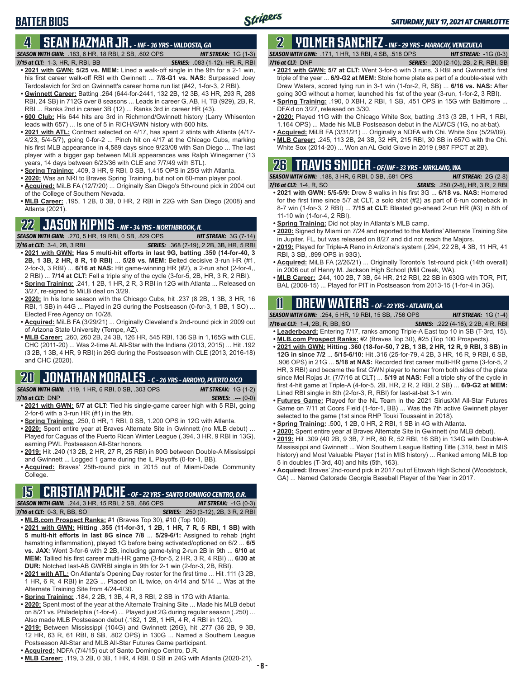# **4 SEAN KAZMAR JR.** *- INF - 36 YRS - VALDOSTA, GA*

*SEASON WITH GWN:*.183, 6 HR, 18 RBI, 2 SB, .602 OPS *HIT STREAK:* 1G (1-3)

*7/15 at CLT:*1-3, HR, R, RBI, BB *SERIES:* .083 (1-12), HR, R, RBI

**BATTER BIOS**

- **• 2021 with GWN: 5/25 vs. MEM:** Lined a walk-off single in the 9th for a 2-1 win, his first career walk-off RBI with Gwinnett ... **7/8-G1 vs. NAS:** Surpassed Joey Terdoslavich for 3rd on Gwinnett's career home run list (#42, 1-for-3, 2 RBI).
- **• Gwinnett Career:** Batting .264 (644-for-2441, 132 2B, 12 3B, 43 HR, 293 R, 288 RBI, 24 SB) in 712G over 8 seasons ... Leads in career G, AB, H, TB (929), 2B, R, RBI ... Ranks 2nd in career 3B (12) ... Ranks 3rd in career HR (43).
- **• 600 Club:** His 644 hits are 3rd in Richmond/Gwinnett history (Larry Whisenton leads with 657) ... Is one of 5 in RICH/GWN history with 600 hits.
- **• 2021 with ATL:** Contract selected on 4/17, has spent 2 stints with Atlanta (4/17- 4/23, 5/4-5/7), going 0-for-2 ... Pinch hit on 4/17 at the Chicago Cubs, marking his first MLB appearance in 4,589 days since 9/23/08 with San Diego ... The last player with a bigger gap between MLB appearances was Ralph Winegarner (13 years, 14 days between 6/23/36 with CLE and 7/7/49 with STL).
- **• Spring Training:** .409, 3 HR, 9 RBI, 0 SB, 1.415 OPS in 25G with Atlanta.
- **• 2020:** Was an NRI to Braves Spring Training, but not on 60-man player pool.
- **• Acquired:** MiLB FA (12/7/20) ... Originally San Diego's 5th-round pick in 2004 out of the College of Southern Nevada.
- **• MLB Career:** .195, 1 2B, 0 3B, 0 HR, 2 RBI in 22G with San Diego (2008) and Atlanta (2021).

# **22 JASON KIPNIS** *- INF - 34 YRS - NORTHBROOK, IL*

- *SEASON WITH GWN:*.270, 5 HR, 19 RBI, 0 SB, .829 OPS *HIT STREAK:* 3G (7-14) *7/16 at CLT:*3-4, 2B, 3 RBI *SERIES:* .368 (7-19), 2 2B, 3B, HR, 5 RBI **• 2021 with GWN: Has 5 multi-hit efforts in last 9G, batting .350 (14-for-40, 3 2B, 1 3B, 2 HR, 8 R, 10 RBI)** ... **5/28 vs. MEM:** Belted decisive 3-run HR (#1, 2-for-3, 3 RBI) ... **6/16 at NAS:** Hit game-winning HR (#2), a 2-run shot (2-for-4,, 2 RBI) ... **7/14 at CLT:** Fell a triple shy of the cycle (3-for-5, 2B, HR, 3 R, 2 RBI).
- **• Spring Training:** .241, 1 2B, 1 HR, 2 R, 3 RBI in 12G with Atlanta ... Released on 3/27, re-signed to MiLB deal on 3/29.
- **• 2020:** In his lone season with the Chicago Cubs, hit .237 (8 2B, 1 3B, 3 HR, 16 RBI, 1 SB) in 44G ... Played in 2G during the Postseason (0-for-3, 1 BB, 1 SO) ... Elected Free Agency on 10/28.
- **• Acquired:** MiLB FA (3/29/21) ... Originally Cleveland's 2nd-round pick in 2009 out of Arizona State University (Tempe, AZ).
- **• MLB Career:** .260, 260 2B, 24 3B, 126 HR, 545 RBI, 136 SB in 1,165G with CLE, CHC (2011-20) ... Was 2-time AL All-Star with the Indians (2013, 2015) ... Hit .192 (3 2B, 1 3B, 4 HR, 9 RBI) in 26G during the Postseason with CLE (2013, 2016-18) and CHC (2020).

# **20 JONATHAN MORALES** *- C - 26 YRS - ARROYO, PUERTO RICO*

*SEASON WITH GWN:*.119, 1 HR, 6 RBI, 0 SB, .303 OPS *HIT STREAK:* 1G (1-2) *7/16 at CLT:*DNP *SERIES:* .--- (0-0)

- **• 2021 with GWN: 5/7 at CLT:** Tied his single-game career high with 5 RBI, going 2-for-6 with a 3-run HR (#1) in the 9th.
- **• Spring Training:** .250, 0 HR, 1 RBI, 0 SB, 1.200 OPS in 12G with Atlanta.
- **• 2020:** Spent entire year at Braves Alternate Site in Gwinnett (no MLB debut) ... Played for Caguas of the Puerto Rican Winter League (.394, 3 HR, 9 RBI in 13G), earning PWL Postseason All-Star honors.
- **• 2019:** Hit .240 (13 2B, 2 HR, 27 R, 25 RBI) in 80G between Double-A Mississippi and Gwinnett ... Logged 1 game during the IL Playoffs (0-for-1, BB).
- **• Acquired:** Braves' 25th-round pick in 2015 out of Miami-Dade Community College.

### **15 CRISTIAN PACHE** *- OF - 22 YRS - SANTO DOMINGO CENTRO, D.R.*

*SEASON WITH GWN:*.244, 3 HR, 15 RBI, 2 SB, .686 OPS *HIT STREAK:* -1G (0-3) *7/16 at CLT:* 0-3, R, BB, SO *SERIES:* .250 (3-12), 2B, 3 R, 2 RBI

- **• MLB.com Prospect Ranks:** #1 (Braves Top 30), #10 (Top 100).
- **• 2021 with GWN: Hitting .355 (11-for-31, 1 2B, 1 HR, 7 R, 5 RBI, 1 SB) with 5 multi-hit efforts in last 8G since 7/8** ... **5/29-6/1:** Assigned to rehab (right hamstring inflammation), played 1G before being activated/optioned on 6/2 ... **6/5 vs. JAX:** Went 3-for-6 with 2 2B, including game-tying 2-run 2B in 9th ... **6/10 at MEM:** Tallied his first career multi-HR game (3-for-5, 2 HR, 3 R, 4 RBI) ... **6/30 at DUR:** Notched last-AB GWRBI single in 9th for 2-1 win (2-for-3, 2B, RBI).
- **• 2021 with ATL:** On Atlanta's Opening Day roster for the first time ... Hit .111 (3 2B, 1 HR, 6 R, 4 RBI) in 22G ... Placed on IL twice, on 4/14 and 5/14 ... Was at the Alternate Training Site from 4/24-4/30.
- **• Spring Training:** .184, 2 2B, 1 3B, 4 R, 3 RBI, 2 SB in 17G with Atlanta.
- **• 2020:** Spent most of the year at the Alternate Training Site ... Made his MLB debut on 8/21 vs. Philadelphia (1-for-4) ... Played just 2G during regular season (.250) ... Also made MLB Postseason debut (.182, 1 2B, 1 HR, 4 R, 4 RBI in 12G).
- **• 2019:** Between Mississippi (104G) and Gwinnett (26G), hit .277 (36 2B, 9 3B, 12 HR, 63 R, 61 RBI, 8 SB, .802 OPS) in 130G ... Named a Southern League Postseason All-Star and MLB All-Star Futures Game participant.
- **• Acquired:** NDFA (7/4/15) out of Santo Domingo Centro, D.R.
- **• MLB Career:** .119, 3 2B, 0 3B, 1 HR, 4 RBI, 0 SB in 24G with Atlanta (2020-21).

### **2 YOLMER SANCHEZ** *- INF - 29 YRS - MARACAY, VENEZUELA SEASON WITH GWN:*.171, 1 HR, 13 RBI, 4 SB, .518 OPS *HIT STREAK:* -1G (0-3)

- *7/16 at CLT:*DNP *SERIES:* .200 (2-10), 2B, 2 R, RBI, SB
- **• 2021 with GWN: 5/7 at CLT:** Went 3-for-5 with 3 runs, 3 RBI and Gwinnett's first triple of the year ... **6/9-G2 at MEM:** Stole home plate as part of a double-steal with Drew Waters, scored tying run in 3-1 win (1-for-2, R, SB) ... **6/16 vs. NAS:** After going 30G without a homer, launched his 1st of the year (3-run, 1-for-2, 3 RBI).
- **• Spring Training:** .190, 0 XBH, 2 RBI, 1 SB, .451 OPS in 15G with Baltimore ... DFA'd on 3/27, released on 3/30.
- **• 2020:** Played 11G with the Chicago White Sox, batting .313 (3 2B, 1 HR, 1 RBI, 1.164 OPS) ... Made his MLB Postseason debut in the ALWCS (1G, no at-bat).
- **• Acquired:** MiLB FA (3/31/21) ... Originally a NDFA with Chi. White Sox (5/29/09).
- **• MLB Career:** .245, 113 2B, 24 3B, 32 HR, 215 RBI, 30 SB in 657G with the Chi. White Sox (2014-20) ... Won an AL Gold Glove in 2019 (.987 FPCT at 2B).

### **26 TRAVIS SNIDER** *- OF/INF - 33 YRS - KIRKLAND, WA SEASON WITH GWN:*.188, 3 HR, 6 RBI, 0 SB, .681 OPS *HIT STREAK:* 2G (2-8)

- *7/16 at CLT:* 1-4, R, SO *SERIES:* .250 (2-8), HR, 3 R, 2 RBI **• 2021 with GWN: 5/5-5/9:** Drew 8 walks in his first 3G ... **6/18 vs. NAS:** Homered for the first time since 5/7 at CLT, a solo shot (#2) as part of 6-run comeback in 8-7 win (1-for-3, 2 RBI) ... **7/15 at CLT:** Blasted go-ahead 2-run HR (#3) in 8th of 11-10 win (1-for-4, 2 RBI).
- **• Spring Training:** Did not play in Atlanta's MLB camp.
- **• 2020:** Signed by Miami on 7/24 and reported to the Marlins' Alternate Training Site in Jupiter, FL, but was released on 8/27 and did not reach the Majors.
- **• 2019:** Played for Triple-A Reno in Arizona's system (.294, 22 2B, 4 3B, 11 HR, 41 RBI, 3 SB, .899 OPS in 93G).
- **• Acquired:** MiLB FA (2/26/21) ... Originally Toronto's 1st-round pick (14th overall) in 2006 out of Henry M. Jackson High School (Mill Creek, WA).
- **• MLB Career:** .244, 100 2B, 7 3B, 54 HR, 212 RBI, 22 SB in 630G with TOR, PIT, BAL (2008-15) ... Played for PIT in Postseason from 2013-15 (1-for-4 in 3G).

# **11 Drew WATERS** *- OF - 22 YRS - ATLANTA, GA*

*SEASON WITH GWN:*.254, 5 HR, 19 RBI, 15 SB, .756 OPS *HIT STREAK:* 1G (1-4) *7/16 at CLT:*1-4, 2B, R, BB, SO *SERIES:* .222 (4-18), 2 2B, 4 R, RBI

- **• Leaderboard:** Entering 7/17, ranks among Triple-A East top 10 in SB (T-3rd, 15).
- **• MLB.com Prospect Ranks:** #2 (Braves Top 30), #25 (Top 100 Prospects).
- **• 2021 with GWN: Hitting .360 (18-for-50, 7 2B, 1 3B, 2 HR, 12 R, 9 RBI, 3 SB) in 12G in since 7/2** ... **5/15-6/10:** Hit .316 (25-for-79, 4 2B, 3 HR, 16 R, 9 RBI, 6 SB, .906 OPS) in 21G ... **5/18 at NAS:** Recorded first career multi-HR game (3-for-5, 2 HR, 3 RBI) and became the first GWN player to homer from both sides of the plate since Mel Rojas Jr. (7/7/16 at CLT) ... **5/19 at NAS:** Fell a triple shy of the cycle in first 4-hit game at Triple-A (4-for-5, 2B, HR, 2 R, 2 RBI, 2 SB) ... **6/9-G2 at MEM:** Lined RBI single in 8th (2-for-3, R, RBI) for last-at-bat 3-1 win.
- **• Futures Game:** Played for the NL Team in the 2021 SiriusXM All-Star Futures Game on 7/11 at Coors Field (1-for-1, BB) ... Was the 7th active Gwinnett player selected to the game (1st since RHP Touki Toussaint in 2018).
- **• Spring Training:** .500, 1 2B, 0 HR, 2 RBI, 1 SB in 4G with Atlanta.
- **• 2020:** Spent entire year at Braves Alternate Site in Gwinnett (no MLB debut).
- **• 2019:** Hit .309 (40 2B, 9 3B, 7 HR, 80 R, 52 RBI, 16 SB) in 134G with Double-A Mississippi and Gwinnett ... Won Southern League Batting Title (.319, best in MIS history) and Most Valuable Player (1st in MIS history) ... Ranked among MiLB top 5 in doubles (T-3rd, 40) and hits (5th, 163).
- **• Acquired:** Braves' 2nd-round pick in 2017 out of Etowah High School (Woodstock, GA) ... Named Gatorade Georgia Baseball Player of the Year in 2017.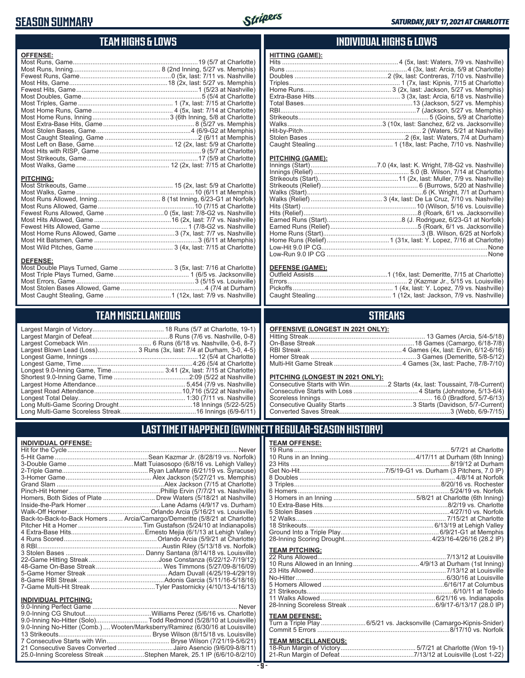## **SEASON SUMMARY**



## **TEAM HIGHS & LOWS**

| <b>OFFENSE:</b>                                              |  |
|--------------------------------------------------------------|--|
|                                                              |  |
|                                                              |  |
|                                                              |  |
|                                                              |  |
|                                                              |  |
|                                                              |  |
|                                                              |  |
|                                                              |  |
|                                                              |  |
|                                                              |  |
|                                                              |  |
|                                                              |  |
|                                                              |  |
|                                                              |  |
|                                                              |  |
|                                                              |  |
|                                                              |  |
| <b>PITCHING:</b>                                             |  |
|                                                              |  |
|                                                              |  |
|                                                              |  |
|                                                              |  |
|                                                              |  |
|                                                              |  |
|                                                              |  |
| Most Home Runs Allowed, Game 3 (7x, last: 7/7 vs. Nashville) |  |
|                                                              |  |
|                                                              |  |

#### **DEFENSE:**

| Most Double Plays Turned, Game  3 (5x, last: 7/16 at Charlotte) |  |
|-----------------------------------------------------------------|--|
|                                                                 |  |
|                                                                 |  |
|                                                                 |  |
|                                                                 |  |
|                                                                 |  |

# **TEAM MISCELLANEOUS**

| Largest Blown Lead (Loss) 3 Runs (3x, last: 7/4 at Durham, 3-0, 4-5) |
|----------------------------------------------------------------------|
|                                                                      |
| Longest Game, Time……………………………………………………4:26 (5/4 at Charlotte)        |
| Longest 9.0-Inning Game, Time 3:41 (2x, last: 7/15 at Charlotte)     |
|                                                                      |
|                                                                      |
|                                                                      |
|                                                                      |
|                                                                      |
|                                                                      |
|                                                                      |

### **INDIVIDUAL HIGHS & LOWS**

| <b>HITTING (GAME):</b> |  |
|------------------------|--|
|                        |  |
|                        |  |
|                        |  |
|                        |  |
|                        |  |
|                        |  |
|                        |  |
|                        |  |
|                        |  |
|                        |  |
|                        |  |
|                        |  |
|                        |  |
|                        |  |

#### **PITCHING (GAME):**

| Low-Run 9.0 IP CG ………………………………………………………………………………………None |
|---------------------------------------------------------|
|                                                         |

#### **DEFENSE (GAME):**

### **STREAKS**

#### **OFFENSIVE (LONGEST IN 2021 ONLY):**

#### **PITCHING (LONGEST IN 2021 ONLY):**

# **LAST TIME IT HAPPENED (GWINNETT REGULAR-SEASON HISTORY)**

#### **INDIVIDUAL OFFENSE:**

|                             | Homers, Both Sides of Plate  Drew Waters (5/18/21 at Nashville)            |
|-----------------------------|----------------------------------------------------------------------------|
|                             |                                                                            |
|                             |                                                                            |
|                             | Back-to-Back-to-Back Homers  Arcia/Camargo/Demeritte (5/8/21 at Charlotte) |
|                             |                                                                            |
|                             |                                                                            |
|                             |                                                                            |
|                             |                                                                            |
|                             |                                                                            |
|                             |                                                                            |
|                             |                                                                            |
|                             |                                                                            |
|                             |                                                                            |
|                             | 7-Game Multi-Hit Streak…Tyler Pastornicky (4/10/13-4/16/13)                |
| <b>INDIVIDUAL PITCHING:</b> |                                                                            |
| 9 0-Inning Perfect Game     | <b>Never</b>                                                               |

| 9.0-Inning No-Hitter (Solo)Todd Redmond (5/28/10 at Louisville)                 |  |
|---------------------------------------------------------------------------------|--|
| 9.0-Inning No-Hitter (Comb.)  Wooten/Marksberry/Ramirez (6/30/16 at Louisville) |  |
|                                                                                 |  |
|                                                                                 |  |
| 21 Consecutive Saves Converted Jairo Asencio (9/6/09-8/8/11)                    |  |
| 25.0-Inning Scoreless Streak Stephen Marek, 25.1 IP (6/6/10-8/2/10)             |  |

| <b>TEAM OFFENSE:</b>  |  |
|-----------------------|--|
|                       |  |
|                       |  |
|                       |  |
|                       |  |
|                       |  |
|                       |  |
|                       |  |
|                       |  |
|                       |  |
|                       |  |
|                       |  |
|                       |  |
|                       |  |
|                       |  |
|                       |  |
| <b>TEAM PITCHING:</b> |  |
|                       |  |
|                       |  |
|                       |  |
|                       |  |
|                       |  |
|                       |  |
|                       |  |
|                       |  |
| <b>TEAM DEFENSE:</b>  |  |

#### **TEAM DEFENSE:**

| Turn a Triple Play 6/5/21 vs. Jacksonville (Camargo-Kipnis-Snider) |  |
|--------------------------------------------------------------------|--|
|                                                                    |  |

| <b>TEAM MISCELLANEOUS:</b> |  |
|----------------------------|--|
|                            |  |
|                            |  |